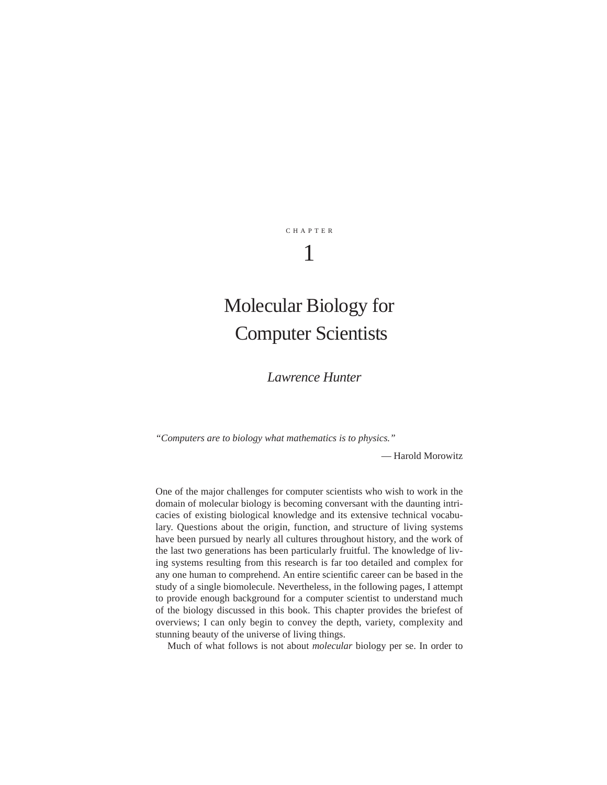# CHAPTER

# 1

# Molecular Biology for Computer Scientists

*Lawrence Hunter*

*"Computers are to biology what mathematics is to physics."*

— Harold Morowitz

One of the major challenges for computer scientists who wish to work in the domain of molecular biology is becoming conversant with the daunting intricacies of existing biological knowledge and its extensive technical vocabulary. Questions about the origin, function, and structure of living systems have been pursued by nearly all cultures throughout history, and the work of the last two generations has been particularly fruitful. The knowledge of living systems resulting from this research is far too detailed and complex for any one human to comprehend. An entire scientific career can be based in the study of a single biomolecule. Nevertheless, in the following pages, I attempt to provide enough background for a computer scientist to understand much of the biology discussed in this book. This chapter provides the briefest of overviews; I can only begin to convey the depth, variety, complexity and stunning beauty of the universe of living things.

Much of what follows is not about *molecular* biology per se. In order to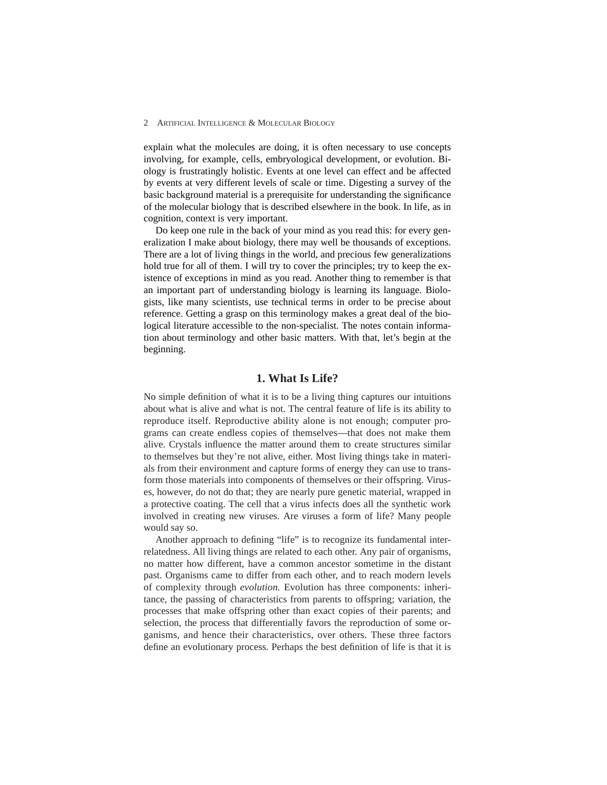explain what the molecules are doing, it is often necessary to use concepts involving, for example, cells, embryological development, or evolution. Biology is frustratingly holistic. Events at one level can effect and be affected by events at very different levels of scale or time. Digesting a survey of the basic background material is a prerequisite for understanding the significance of the molecular biology that is described elsewhere in the book. In life, as in cognition, context is very important.

Do keep one rule in the back of your mind as you read this: for every generalization I make about biology, there may well be thousands of exceptions. There are a lot of living things in the world, and precious few generalizations hold true for all of them. I will try to cover the principles; try to keep the existence of exceptions in mind as you read. Another thing to remember is that an important part of understanding biology is learning its language. Biologists, like many scientists, use technical terms in order to be precise about reference. Getting a grasp on this terminology makes a great deal of the biological literature accessible to the non-specialist. The notes contain information about terminology and other basic matters. With that, let's begin at the beginning.

# **1. What Is Life?**

No simple definition of what it is to be a living thing captures our intuitions about what is alive and what is not. The central feature of life is its ability to reproduce itself. Reproductive ability alone is not enough; computer programs can create endless copies of themselves—that does not make them alive. Crystals influence the matter around them to create structures similar to themselves but they're not alive, either. Most living things take in materials from their environment and capture forms of energy they can use to transform those materials into components of themselves or their offspring. Viruses, however, do not do that; they are nearly pure genetic material, wrapped in a protective coating. The cell that a virus infects does all the synthetic work involved in creating new viruses. Are viruses a form of life? Many people would say so.

Another approach to defining "life" is to recognize its fundamental interrelatedness. All living things are related to each other. Any pair of organisms, no matter how different, have a common ancestor sometime in the distant past. Organisms came to differ from each other, and to reach modern levels of complexity through *evolution.* Evolution has three components: inheritance, the passing of characteristics from parents to offspring; variation, the processes that make offspring other than exact copies of their parents; and selection, the process that differentially favors the reproduction of some organisms, and hence their characteristics, over others. These three factors define an evolutionary process. Perhaps the best definition of life is that it is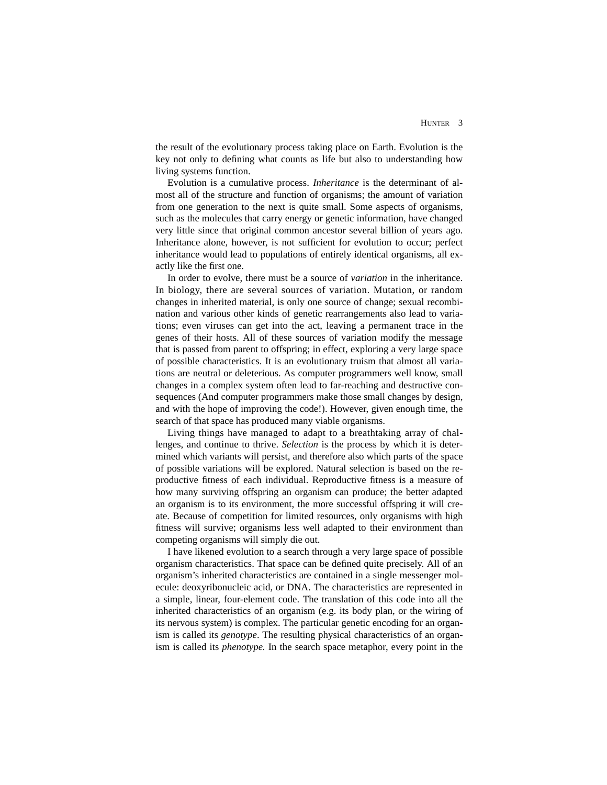the result of the evolutionary process taking place on Earth. Evolution is the key not only to defining what counts as life but also to understanding how living systems function.

Evolution is a cumulative process. *Inheritance* is the determinant of almost all of the structure and function of organisms; the amount of variation from one generation to the next is quite small. Some aspects of organisms, such as the molecules that carry energy or genetic information, have changed very little since that original common ancestor several billion of years ago. Inheritance alone, however, is not sufficient for evolution to occur; perfect inheritance would lead to populations of entirely identical organisms, all exactly like the first one.

In order to evolve, there must be a source of *variation* in the inheritance. In biology, there are several sources of variation. Mutation, or random changes in inherited material, is only one source of change; sexual recombination and various other kinds of genetic rearrangements also lead to variations; even viruses can get into the act, leaving a permanent trace in the genes of their hosts. All of these sources of variation modify the message that is passed from parent to offspring; in effect, exploring a very large space of possible characteristics. It is an evolutionary truism that almost all variations are neutral or deleterious. As computer programmers well know, small changes in a complex system often lead to far-reaching and destructive consequences (And computer programmers make those small changes by design, and with the hope of improving the code!). However, given enough time, the search of that space has produced many viable organisms.

Living things have managed to adapt to a breathtaking array of challenges, and continue to thrive. *Selection* is the process by which it is determined which variants will persist, and therefore also which parts of the space of possible variations will be explored. Natural selection is based on the reproductive fitness of each individual. Reproductive fitness is a measure of how many surviving offspring an organism can produce; the better adapted an organism is to its environment, the more successful offspring it will create. Because of competition for limited resources, only organisms with high fitness will survive; organisms less well adapted to their environment than competing organisms will simply die out.

I have likened evolution to a search through a very large space of possible organism characteristics. That space can be defined quite precisely. All of an organism's inherited characteristics are contained in a single messenger molecule: deoxyribonucleic acid, or DNA. The characteristics are represented in a simple, linear, four-element code. The translation of this code into all the inherited characteristics of an organism (e.g. its body plan, or the wiring of its nervous system) is complex. The particular genetic encoding for an organism is called its *genotype*. The resulting physical characteristics of an organism is called its *phenotype.* In the search space metaphor, every point in the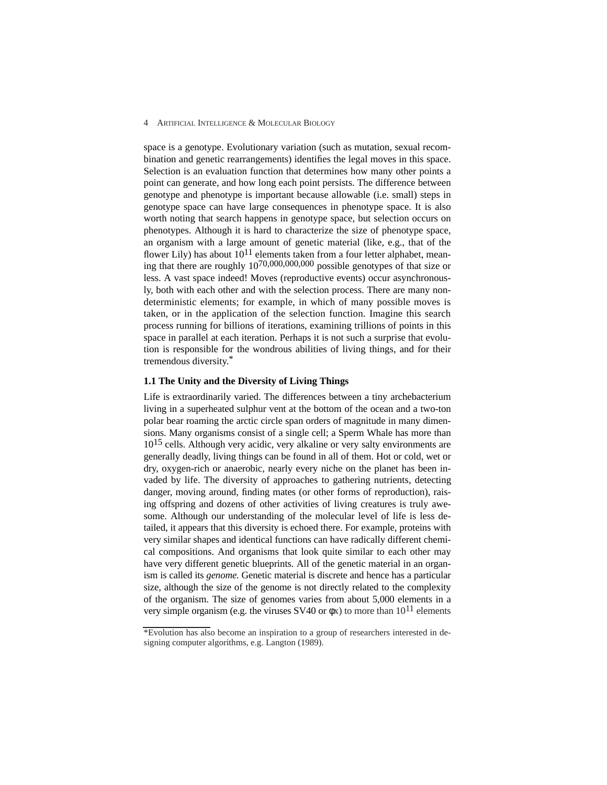space is a genotype. Evolutionary variation (such as mutation, sexual recombination and genetic rearrangements) identifies the legal moves in this space. Selection is an evaluation function that determines how many other points a point can generate, and how long each point persists. The difference between genotype and phenotype is important because allowable (i.e. small) steps in genotype space can have large consequences in phenotype space. It is also worth noting that search happens in genotype space, but selection occurs on phenotypes. Although it is hard to characterize the size of phenotype space, an organism with a large amount of genetic material (like, e.g., that of the flower Lily) has about  $10^{11}$  elements taken from a four letter alphabet, meaning that there are roughly 1070,000,000,000 possible genotypes of that size or less. A vast space indeed! Moves (reproductive events) occur asynchronously, both with each other and with the selection process. There are many nondeterministic elements; for example, in which of many possible moves is taken, or in the application of the selection function. Imagine this search process running for billions of iterations, examining trillions of points in this space in parallel at each iteration. Perhaps it is not such a surprise that evolution is responsible for the wondrous abilities of living things, and for their tremendous diversity.\*

## **1.1 The Unity and the Diversity of Living Things**

Life is extraordinarily varied. The differences between a tiny archebacterium living in a superheated sulphur vent at the bottom of the ocean and a two-ton polar bear roaming the arctic circle span orders of magnitude in many dimensions. Many organisms consist of a single cell; a Sperm Whale has more than  $10^{15}$  cells. Although very acidic, very alkaline or very salty environments are generally deadly, living things can be found in all of them. Hot or cold, wet or dry, oxygen-rich or anaerobic, nearly every niche on the planet has been invaded by life. The diversity of approaches to gathering nutrients, detecting danger, moving around, finding mates (or other forms of reproduction), raising offspring and dozens of other activities of living creatures is truly awesome. Although our understanding of the molecular level of life is less detailed, it appears that this diversity is echoed there. For example, proteins with very similar shapes and identical functions can have radically different chemical compositions. And organisms that look quite similar to each other may have very different genetic blueprints. All of the genetic material in an organism is called its *genome.* Genetic material is discrete and hence has a particular size, although the size of the genome is not directly related to the complexity of the organism. The size of genomes varies from about 5,000 elements in a very simple organism (e.g. the viruses SV40 or  $\phi$ x) to more than 10<sup>11</sup> elements

<sup>\*</sup>Evolution has also become an inspiration to a group of researchers interested in designing computer algorithms, e.g. Langton (1989).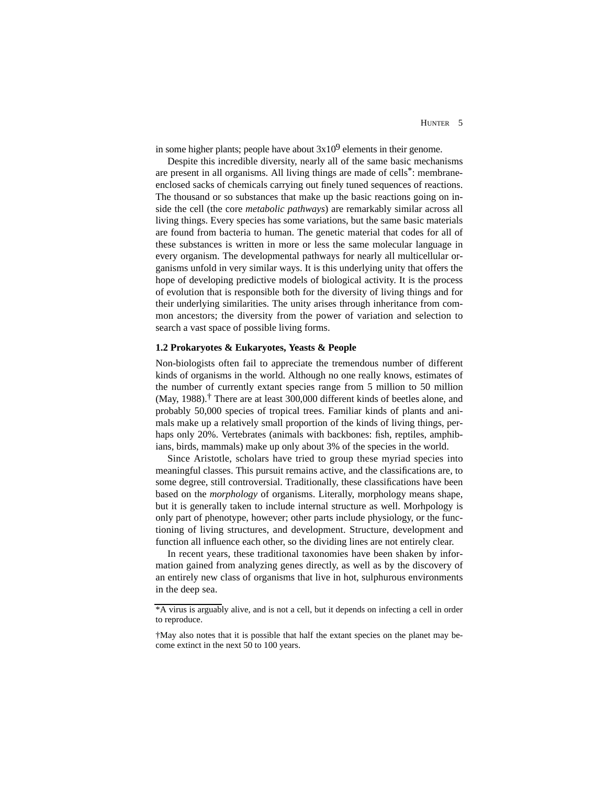in some higher plants; people have about  $3x10^9$  elements in their genome.

Despite this incredible diversity, nearly all of the same basic mechanisms are present in all organisms. All living things are made of cells\*: membraneenclosed sacks of chemicals carrying out finely tuned sequences of reactions. The thousand or so substances that make up the basic reactions going on inside the cell (the core *metabolic pathways*) are remarkably similar across all living things. Every species has some variations, but the same basic materials are found from bacteria to human. The genetic material that codes for all of these substances is written in more or less the same molecular language in every organism. The developmental pathways for nearly all multicellular organisms unfold in very similar ways. It is this underlying unity that offers the hope of developing predictive models of biological activity. It is the process of evolution that is responsible both for the diversity of living things and for their underlying similarities. The unity arises through inheritance from common ancestors; the diversity from the power of variation and selection to search a vast space of possible living forms.

## **1.2 Prokaryotes & Eukaryotes, Yeasts & People**

Non-biologists often fail to appreciate the tremendous number of different kinds of organisms in the world. Although no one really knows, estimates of the number of currently extant species range from 5 million to 50 million (May, 1988).† There are at least 300,000 different kinds of beetles alone, and probably 50,000 species of tropical trees. Familiar kinds of plants and animals make up a relatively small proportion of the kinds of living things, perhaps only 20%. Vertebrates (animals with backbones: fish, reptiles, amphibians, birds, mammals) make up only about 3% of the species in the world.

Since Aristotle, scholars have tried to group these myriad species into meaningful classes. This pursuit remains active, and the classifications are, to some degree, still controversial. Traditionally, these classifications have been based on the *morphology* of organisms. Literally, morphology means shape, but it is generally taken to include internal structure as well. Morhpology is only part of phenotype, however; other parts include physiology, or the functioning of living structures, and development. Structure, development and function all influence each other, so the dividing lines are not entirely clear.

In recent years, these traditional taxonomies have been shaken by information gained from analyzing genes directly, as well as by the discovery of an entirely new class of organisms that live in hot, sulphurous environments in the deep sea.

<sup>\*</sup>A virus is arguably alive, and is not a cell, but it depends on infecting a cell in order to reproduce.

<sup>†</sup>May also notes that it is possible that half the extant species on the planet may become extinct in the next 50 to 100 years.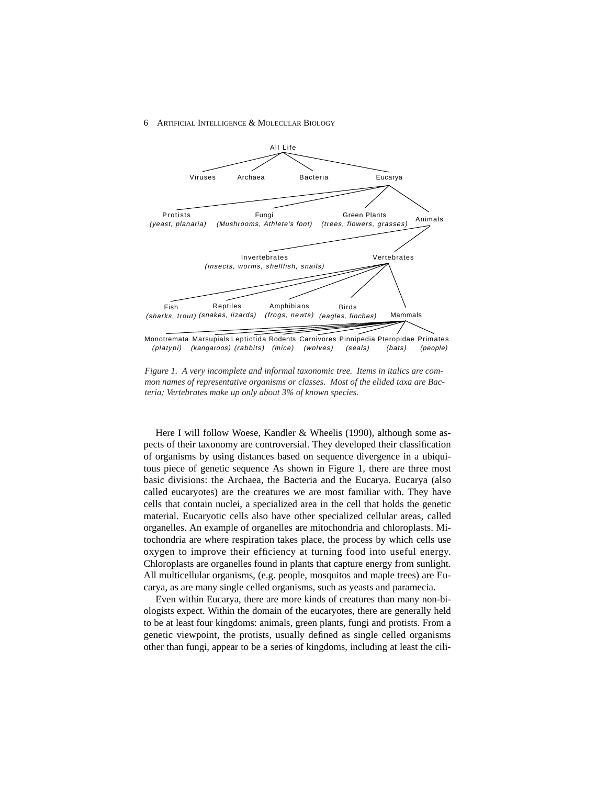

*Figure 1. A very incomplete and informal taxonomic tree. Items in italics are common names of representative organisms or classes. Most of the elided taxa are Bacteria; Vertebrates make up only about 3% of known species.*

Here I will follow Woese, Kandler & Wheelis (1990), although some aspects of their taxonomy are controversial. They developed their classification of organisms by using distances based on sequence divergence in a ubiquitous piece of genetic sequence As shown in Figure 1, there are three most basic divisions: the Archaea, the Bacteria and the Eucarya. Eucarya (also called eucaryotes) are the creatures we are most familiar with. They have cells that contain nuclei, a specialized area in the cell that holds the genetic material. Eucaryotic cells also have other specialized cellular areas, called organelles. An example of organelles are mitochondria and chloroplasts. Mitochondria are where respiration takes place, the process by which cells use oxygen to improve their efficiency at turning food into useful energy. Chloroplasts are organelles found in plants that capture energy from sunlight. All multicellular organisms, (e.g. people, mosquitos and maple trees) are Eucarya, as are many single celled organisms, such as yeasts and paramecia.

Even within Eucarya, there are more kinds of creatures than many non-biologists expect. Within the domain of the eucaryotes, there are generally held to be at least four kingdoms: animals, green plants, fungi and protists. From a genetic viewpoint, the protists, usually defined as single celled organisms other than fungi, appear to be a series of kingdoms, including at least the cili-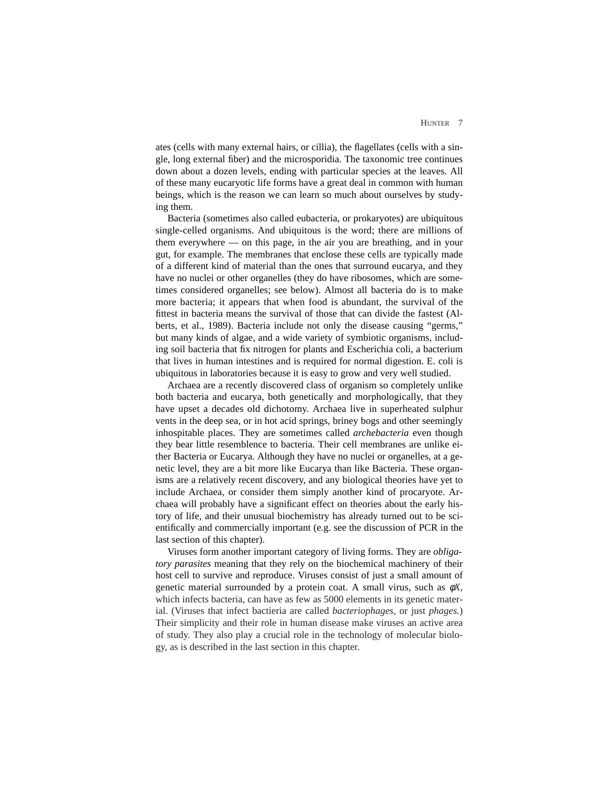## HUNTER<sub>7</sub>

ates (cells with many external hairs, or cillia), the flagellates (cells with a single, long external fiber) and the microsporidia. The taxonomic tree continues down about a dozen levels, ending with particular species at the leaves. All of these many eucaryotic life forms have a great deal in common with human beings, which is the reason we can learn so much about ourselves by studying them.

Bacteria (sometimes also called eubacteria, or prokaryotes) are ubiquitous single-celled organisms. And ubiquitous is the word; there are millions of them everywhere — on this page, in the air you are breathing, and in your gut, for example. The membranes that enclose these cells are typically made of a different kind of material than the ones that surround eucarya, and they have no nuclei or other organelles (they do have ribosomes, which are sometimes considered organelles; see below). Almost all bacteria do is to make more bacteria; it appears that when food is abundant, the survival of the fittest in bacteria means the survival of those that can divide the fastest (Alberts, et al., 1989). Bacteria include not only the disease causing "germs," but many kinds of algae, and a wide variety of symbiotic organisms, including soil bacteria that fix nitrogen for plants and Escherichia coli, a bacterium that lives in human intestines and is required for normal digestion. E. coli is ubiquitous in laboratories because it is easy to grow and very well studied.

Archaea are a recently discovered class of organism so completely unlike both bacteria and eucarya, both genetically and morphologically, that they have upset a decades old dichotomy. Archaea live in superheated sulphur vents in the deep sea, or in hot acid springs, briney bogs and other seemingly inhospitable places. They are sometimes called *archebacteria* even though they bear little resemblence to bacteria. Their cell membranes are unlike either Bacteria or Eucarya. Although they have no nuclei or organelles, at a genetic level, they are a bit more like Eucarya than like Bacteria. These organisms are a relatively recent discovery, and any biological theories have yet to include Archaea, or consider them simply another kind of procaryote. Archaea will probably have a significant effect on theories about the early history of life, and their unusual biochemistry has already turned out to be scientifically and commercially important (e.g. see the discussion of PCR in the last section of this chapter).

Viruses form another important category of living forms. They are *obligatory parasites* meaning that they rely on the biochemical machinery of their host cell to survive and reproduce. Viruses consist of just a small amount of genetic material surrounded by a protein coat. A small virus, such as φ*X*, which infects bacteria, can have as few as 5000 elements in its genetic material. (Viruses that infect bactieria are called *bacteriophages*, or just *phages.*) Their simplicity and their role in human disease make viruses an active area of study. They also play a crucial role in the technology of molecular biology, as is described in the last section in this chapter.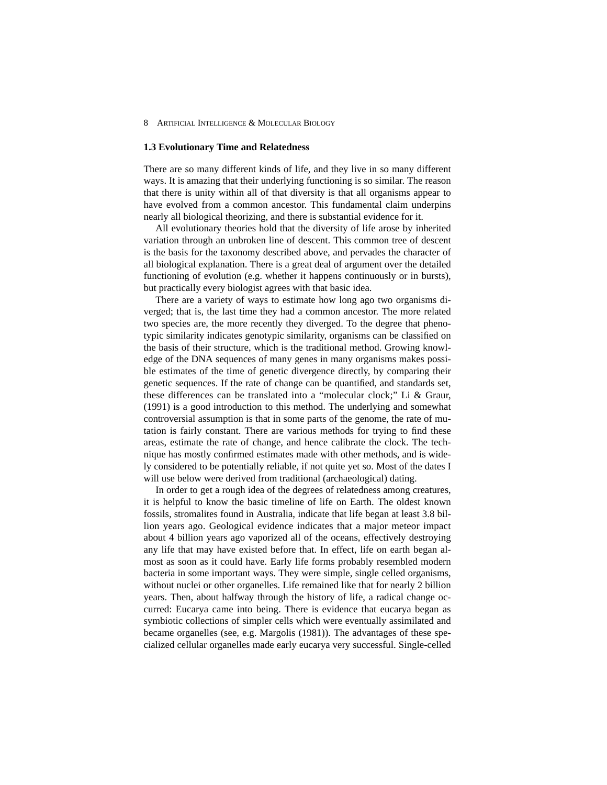# **1.3 Evolutionary Time and Relatedness**

There are so many different kinds of life, and they live in so many different ways. It is amazing that their underlying functioning is so similar. The reason that there is unity within all of that diversity is that all organisms appear to have evolved from a common ancestor. This fundamental claim underpins nearly all biological theorizing, and there is substantial evidence for it.

All evolutionary theories hold that the diversity of life arose by inherited variation through an unbroken line of descent. This common tree of descent is the basis for the taxonomy described above, and pervades the character of all biological explanation. There is a great deal of argument over the detailed functioning of evolution (e.g. whether it happens continuously or in bursts), but practically every biologist agrees with that basic idea.

There are a variety of ways to estimate how long ago two organisms diverged; that is, the last time they had a common ancestor. The more related two species are, the more recently they diverged. To the degree that phenotypic similarity indicates genotypic similarity, organisms can be classified on the basis of their structure, which is the traditional method. Growing knowledge of the DNA sequences of many genes in many organisms makes possible estimates of the time of genetic divergence directly, by comparing their genetic sequences. If the rate of change can be quantified, and standards set, these differences can be translated into a "molecular clock;" Li & Graur, (1991) is a good introduction to this method. The underlying and somewhat controversial assumption is that in some parts of the genome, the rate of mutation is fairly constant. There are various methods for trying to find these areas, estimate the rate of change, and hence calibrate the clock. The technique has mostly confirmed estimates made with other methods, and is widely considered to be potentially reliable, if not quite yet so. Most of the dates I will use below were derived from traditional (archaeological) dating.

In order to get a rough idea of the degrees of relatedness among creatures, it is helpful to know the basic timeline of life on Earth. The oldest known fossils, stromalites found in Australia, indicate that life began at least 3.8 billion years ago. Geological evidence indicates that a major meteor impact about 4 billion years ago vaporized all of the oceans, effectively destroying any life that may have existed before that. In effect, life on earth began almost as soon as it could have. Early life forms probably resembled modern bacteria in some important ways. They were simple, single celled organisms, without nuclei or other organelles. Life remained like that for nearly 2 billion years. Then, about halfway through the history of life, a radical change occurred: Eucarya came into being. There is evidence that eucarya began as symbiotic collections of simpler cells which were eventually assimilated and became organelles (see, e.g. Margolis (1981)). The advantages of these specialized cellular organelles made early eucarya very successful. Single-celled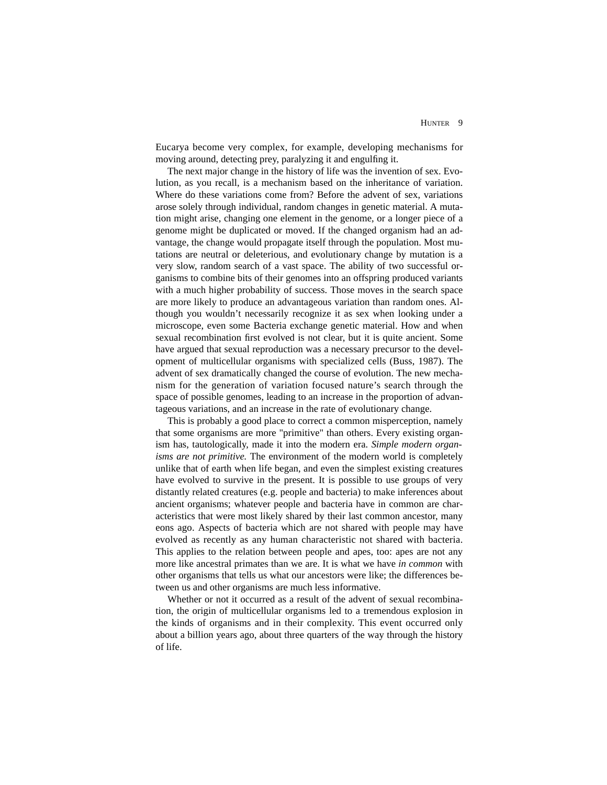Eucarya become very complex, for example, developing mechanisms for moving around, detecting prey, paralyzing it and engulfing it.

The next major change in the history of life was the invention of sex. Evolution, as you recall, is a mechanism based on the inheritance of variation. Where do these variations come from? Before the advent of sex, variations arose solely through individual, random changes in genetic material. A mutation might arise, changing one element in the genome, or a longer piece of a genome might be duplicated or moved. If the changed organism had an advantage, the change would propagate itself through the population. Most mutations are neutral or deleterious, and evolutionary change by mutation is a very slow, random search of a vast space. The ability of two successful organisms to combine bits of their genomes into an offspring produced variants with a much higher probability of success. Those moves in the search space are more likely to produce an advantageous variation than random ones. Although you wouldn't necessarily recognize it as sex when looking under a microscope, even some Bacteria exchange genetic material. How and when sexual recombination first evolved is not clear, but it is quite ancient. Some have argued that sexual reproduction was a necessary precursor to the development of multicellular organisms with specialized cells (Buss, 1987). The advent of sex dramatically changed the course of evolution. The new mechanism for the generation of variation focused nature's search through the space of possible genomes, leading to an increase in the proportion of advantageous variations, and an increase in the rate of evolutionary change.

This is probably a good place to correct a common misperception, namely that some organisms are more "primitive" than others. Every existing organism has, tautologically, made it into the modern era. *Simple modern organisms are not primitive.* The environment of the modern world is completely unlike that of earth when life began, and even the simplest existing creatures have evolved to survive in the present. It is possible to use groups of very distantly related creatures (e.g. people and bacteria) to make inferences about ancient organisms; whatever people and bacteria have in common are characteristics that were most likely shared by their last common ancestor, many eons ago. Aspects of bacteria which are not shared with people may have evolved as recently as any human characteristic not shared with bacteria. This applies to the relation between people and apes, too: apes are not any more like ancestral primates than we are. It is what we have *in common* with other organisms that tells us what our ancestors were like; the differences between us and other organisms are much less informative.

Whether or not it occurred as a result of the advent of sexual recombination, the origin of multicellular organisms led to a tremendous explosion in the kinds of organisms and in their complexity. This event occurred only about a billion years ago, about three quarters of the way through the history of life.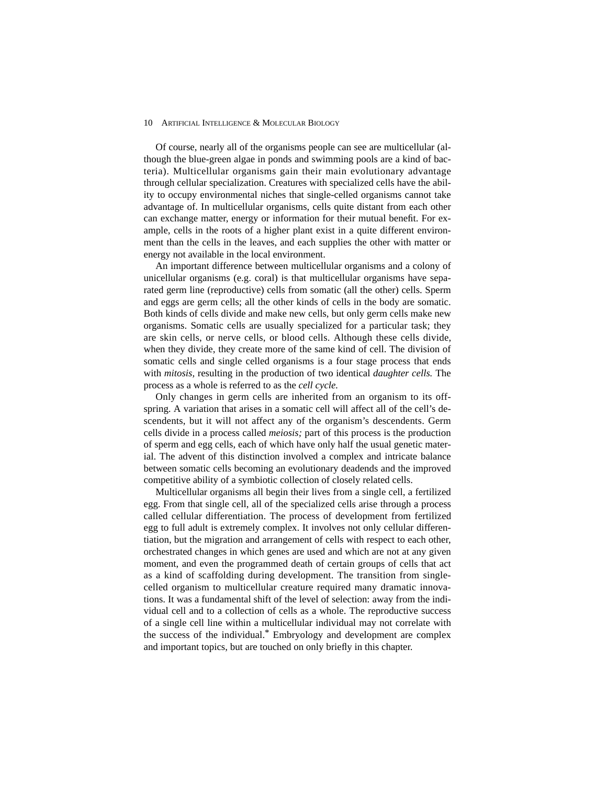Of course, nearly all of the organisms people can see are multicellular (although the blue-green algae in ponds and swimming pools are a kind of bacteria). Multicellular organisms gain their main evolutionary advantage through cellular specialization. Creatures with specialized cells have the ability to occupy environmental niches that single-celled organisms cannot take advantage of. In multicellular organisms, cells quite distant from each other can exchange matter, energy or information for their mutual benefit. For example, cells in the roots of a higher plant exist in a quite different environment than the cells in the leaves, and each supplies the other with matter or energy not available in the local environment.

An important difference between multicellular organisms and a colony of unicellular organisms (e.g. coral) is that multicellular organisms have separated germ line (reproductive) cells from somatic (all the other) cells. Sperm and eggs are germ cells; all the other kinds of cells in the body are somatic. Both kinds of cells divide and make new cells, but only germ cells make new organisms. Somatic cells are usually specialized for a particular task; they are skin cells, or nerve cells, or blood cells. Although these cells divide, when they divide, they create more of the same kind of cell. The division of somatic cells and single celled organisms is a four stage process that ends with *mitosis,* resulting in the production of two identical *daughter cells.* The process as a whole is referred to as the *cell cycle.*

Only changes in germ cells are inherited from an organism to its offspring. A variation that arises in a somatic cell will affect all of the cell's descendents, but it will not affect any of the organism's descendents. Germ cells divide in a process called *meiosis;* part of this process is the production of sperm and egg cells, each of which have only half the usual genetic material. The advent of this distinction involved a complex and intricate balance between somatic cells becoming an evolutionary deadends and the improved competitive ability of a symbiotic collection of closely related cells.

Multicellular organisms all begin their lives from a single cell, a fertilized egg. From that single cell, all of the specialized cells arise through a process called cellular differentiation. The process of development from fertilized egg to full adult is extremely complex. It involves not only cellular differentiation, but the migration and arrangement of cells with respect to each other, orchestrated changes in which genes are used and which are not at any given moment, and even the programmed death of certain groups of cells that act as a kind of scaffolding during development. The transition from singlecelled organism to multicellular creature required many dramatic innovations. It was a fundamental shift of the level of selection: away from the individual cell and to a collection of cells as a whole. The reproductive success of a single cell line within a multicellular individual may not correlate with the success of the individual.\* Embryology and development are complex and important topics, but are touched on only briefly in this chapter.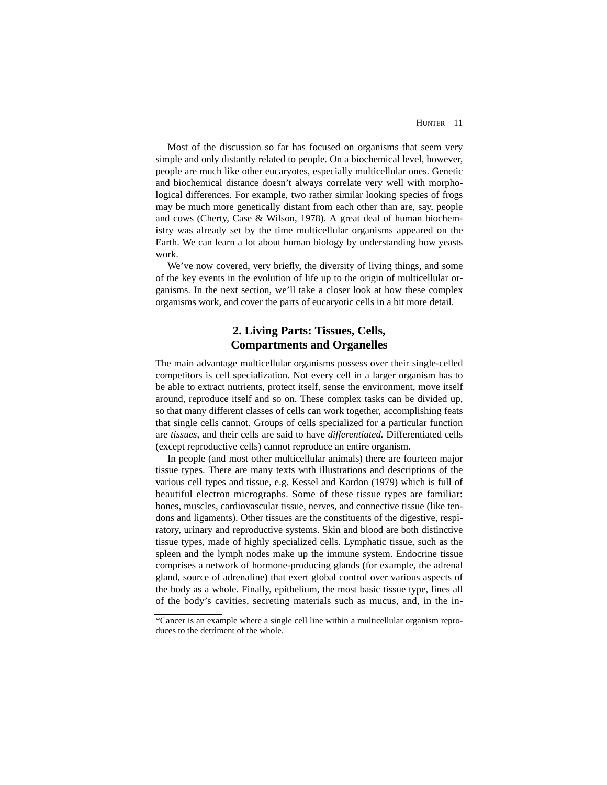Most of the discussion so far has focused on organisms that seem very simple and only distantly related to people. On a biochemical level, however, people are much like other eucaryotes, especially multicellular ones. Genetic and biochemical distance doesn't always correlate very well with morphological differences. For example, two rather similar looking species of frogs may be much more genetically distant from each other than are, say, people and cows (Cherty, Case & Wilson, 1978). A great deal of human biochemistry was already set by the time multicellular organisms appeared on the Earth. We can learn a lot about human biology by understanding how yeasts work.

We've now covered, very briefly, the diversity of living things, and some of the key events in the evolution of life up to the origin of multicellular organisms. In the next section, we'll take a closer look at how these complex organisms work, and cover the parts of eucaryotic cells in a bit more detail.

# **2. Living Parts: Tissues, Cells, Compartments and Organelles**

The main advantage multicellular organisms possess over their single-celled competitors is cell specialization. Not every cell in a larger organism has to be able to extract nutrients, protect itself, sense the environment, move itself around, reproduce itself and so on. These complex tasks can be divided up, so that many different classes of cells can work together, accomplishing feats that single cells cannot. Groups of cells specialized for a particular function are *tissues*, and their cells are said to have *differentiated.* Differentiated cells (except reproductive cells) cannot reproduce an entire organism.

In people (and most other multicellular animals) there are fourteen major tissue types. There are many texts with illustrations and descriptions of the various cell types and tissue, e.g. Kessel and Kardon (1979) which is full of beautiful electron micrographs. Some of these tissue types are familiar: bones, muscles, cardiovascular tissue, nerves, and connective tissue (like tendons and ligaments). Other tissues are the constituents of the digestive, respiratory, urinary and reproductive systems. Skin and blood are both distinctive tissue types, made of highly specialized cells. Lymphatic tissue, such as the spleen and the lymph nodes make up the immune system. Endocrine tissue comprises a network of hormone-producing glands (for example, the adrenal gland, source of adrenaline) that exert global control over various aspects of the body as a whole. Finally, epithelium, the most basic tissue type, lines all of the body's cavities, secreting materials such as mucus, and, in the in-

<sup>\*</sup>Cancer is an example where a single cell line within a multicellular organism reproduces to the detriment of the whole.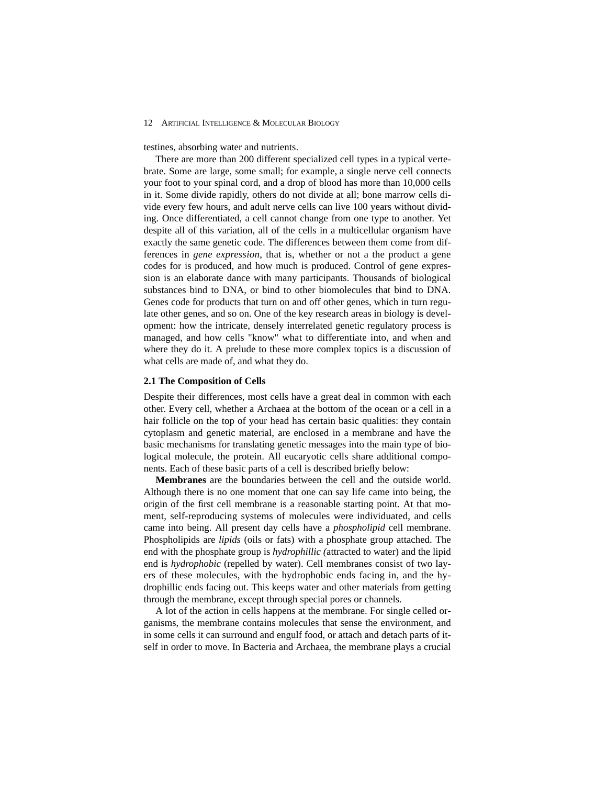testines, absorbing water and nutrients.

There are more than 200 different specialized cell types in a typical vertebrate. Some are large, some small; for example, a single nerve cell connects your foot to your spinal cord, and a drop of blood has more than 10,000 cells in it. Some divide rapidly, others do not divide at all; bone marrow cells divide every few hours, and adult nerve cells can live 100 years without dividing. Once differentiated, a cell cannot change from one type to another. Yet despite all of this variation, all of the cells in a multicellular organism have exactly the same genetic code. The differences between them come from differences in *gene expression*, that is, whether or not a the product a gene codes for is produced, and how much is produced. Control of gene expression is an elaborate dance with many participants. Thousands of biological substances bind to DNA, or bind to other biomolecules that bind to DNA. Genes code for products that turn on and off other genes, which in turn regulate other genes, and so on. One of the key research areas in biology is development: how the intricate, densely interrelated genetic regulatory process is managed, and how cells "know" what to differentiate into, and when and where they do it. A prelude to these more complex topics is a discussion of what cells are made of, and what they do.

#### **2.1 The Composition of Cells**

Despite their differences, most cells have a great deal in common with each other. Every cell, whether a Archaea at the bottom of the ocean or a cell in a hair follicle on the top of your head has certain basic qualities: they contain cytoplasm and genetic material, are enclosed in a membrane and have the basic mechanisms for translating genetic messages into the main type of biological molecule, the protein. All eucaryotic cells share additional components. Each of these basic parts of a cell is described briefly below:

**Membranes** are the boundaries between the cell and the outside world. Although there is no one moment that one can say life came into being, the origin of the first cell membrane is a reasonable starting point. At that moment, self-reproducing systems of molecules were individuated, and cells came into being. All present day cells have a *phospholipid* cell membrane. Phospholipids are *lipids* (oils or fats) with a phosphate group attached. The end with the phosphate group is *hydrophillic (*attracted to water) and the lipid end is *hydrophobic* (repelled by water). Cell membranes consist of two layers of these molecules, with the hydrophobic ends facing in, and the hydrophillic ends facing out. This keeps water and other materials from getting through the membrane, except through special pores or channels.

A lot of the action in cells happens at the membrane. For single celled organisms, the membrane contains molecules that sense the environment, and in some cells it can surround and engulf food, or attach and detach parts of itself in order to move. In Bacteria and Archaea, the membrane plays a crucial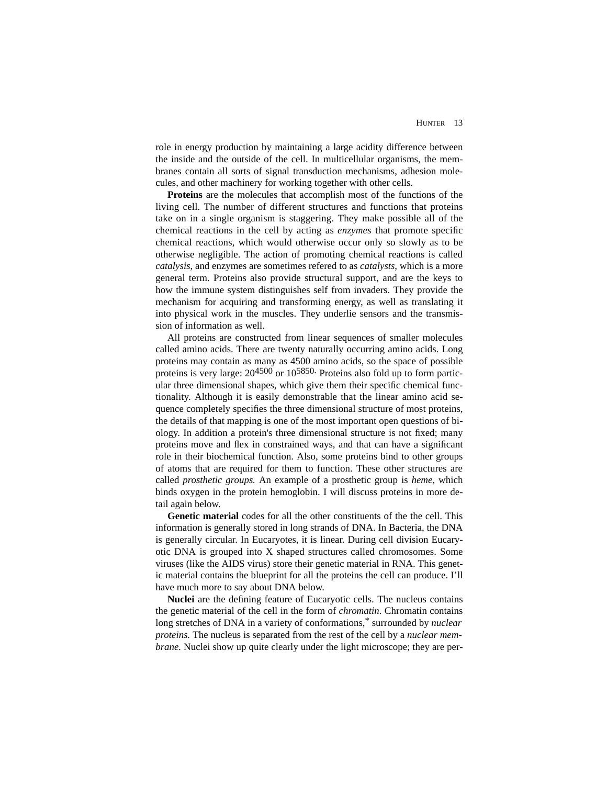role in energy production by maintaining a large acidity difference between the inside and the outside of the cell. In multicellular organisms, the membranes contain all sorts of signal transduction mechanisms, adhesion molecules, and other machinery for working together with other cells.

**Proteins** are the molecules that accomplish most of the functions of the living cell. The number of different structures and functions that proteins take on in a single organism is staggering. They make possible all of the chemical reactions in the cell by acting as *enzymes* that promote specific chemical reactions, which would otherwise occur only so slowly as to be otherwise negligible. The action of promoting chemical reactions is called *catalysis*, and enzymes are sometimes refered to as *catalysts*, which is a more general term. Proteins also provide structural support, and are the keys to how the immune system distinguishes self from invaders. They provide the mechanism for acquiring and transforming energy, as well as translating it into physical work in the muscles. They underlie sensors and the transmission of information as well.

All proteins are constructed from linear sequences of smaller molecules called amino acids. There are twenty naturally occurring amino acids. Long proteins may contain as many as 4500 amino acids, so the space of possible proteins is very large:  $20^{4500}$  or  $10^{5850}$ . Proteins also fold up to form particular three dimensional shapes, which give them their specific chemical functionality. Although it is easily demonstrable that the linear amino acid sequence completely specifies the three dimensional structure of most proteins, the details of that mapping is one of the most important open questions of biology. In addition a protein's three dimensional structure is not fixed; many proteins move and flex in constrained ways, and that can have a significant role in their biochemical function. Also, some proteins bind to other groups of atoms that are required for them to function. These other structures are called *prosthetic groups.* An example of a prosthetic group is *heme,* which binds oxygen in the protein hemoglobin. I will discuss proteins in more detail again below.

**Genetic material** codes for all the other constituents of the the cell. This information is generally stored in long strands of DNA. In Bacteria, the DNA is generally circular. In Eucaryotes, it is linear. During cell division Eucaryotic DNA is grouped into X shaped structures called chromosomes. Some viruses (like the AIDS virus) store their genetic material in RNA. This genetic material contains the blueprint for all the proteins the cell can produce. I'll have much more to say about DNA below.

**Nuclei** are the defining feature of Eucaryotic cells. The nucleus contains the genetic material of the cell in the form of *chromatin*. Chromatin contains long stretches of DNA in a variety of conformations,\* surrounded by *nuclear proteins.* The nucleus is separated from the rest of the cell by a *nuclear membrane.* Nuclei show up quite clearly under the light microscope; they are per-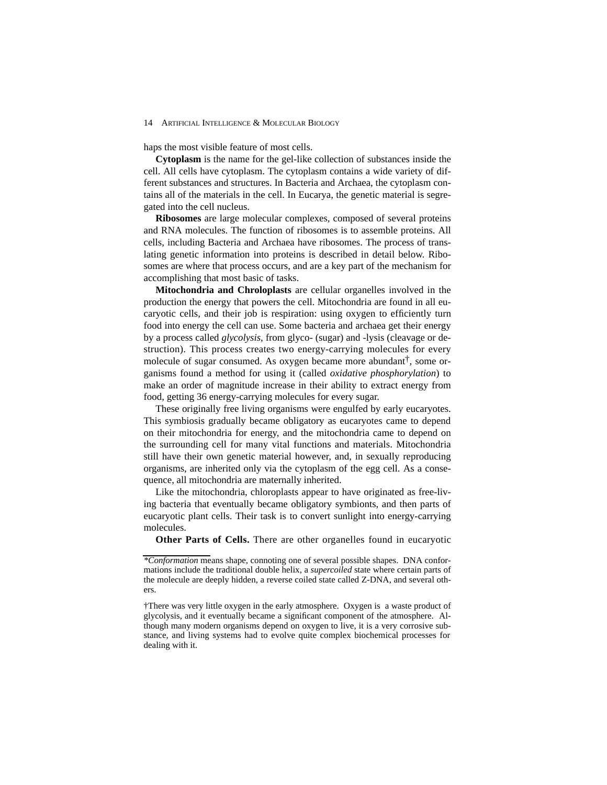haps the most visible feature of most cells.

**Cytoplasm** is the name for the gel-like collection of substances inside the cell. All cells have cytoplasm. The cytoplasm contains a wide variety of different substances and structures. In Bacteria and Archaea, the cytoplasm contains all of the materials in the cell. In Eucarya, the genetic material is segregated into the cell nucleus.

**Ribosomes** are large molecular complexes, composed of several proteins and RNA molecules. The function of ribosomes is to assemble proteins. All cells, including Bacteria and Archaea have ribosomes. The process of translating genetic information into proteins is described in detail below. Ribosomes are where that process occurs, and are a key part of the mechanism for accomplishing that most basic of tasks.

**Mitochondria and Chroloplasts** are cellular organelles involved in the production the energy that powers the cell. Mitochondria are found in all eucaryotic cells, and their job is respiration: using oxygen to efficiently turn food into energy the cell can use. Some bacteria and archaea get their energy by a process called *glycolysis*, from glyco- (sugar) and -lysis (cleavage or destruction). This process creates two energy-carrying molecules for every molecule of sugar consumed. As oxygen became more abundant<sup>†</sup>, some organisms found a method for using it (called *oxidative phosphorylation*) to make an order of magnitude increase in their ability to extract energy from food, getting 36 energy-carrying molecules for every sugar.

These originally free living organisms were engulfed by early eucaryotes. This symbiosis gradually became obligatory as eucaryotes came to depend on their mitochondria for energy, and the mitochondria came to depend on the surrounding cell for many vital functions and materials. Mitochondria still have their own genetic material however, and, in sexually reproducing organisms, are inherited only via the cytoplasm of the egg cell. As a consequence, all mitochondria are maternally inherited.

Like the mitochondria, chloroplasts appear to have originated as free-living bacteria that eventually became obligatory symbionts, and then parts of eucaryotic plant cells. Their task is to convert sunlight into energy-carrying molecules.

**Other Parts of Cells.** There are other organelles found in eucaryotic

*<sup>\*</sup>Conformation* means shape, connoting one of several possible shapes. DNA conformations include the traditional double helix, a *supercoiled* state where certain parts of the molecule are deeply hidden, a reverse coiled state called Z-DNA, and several others.

<sup>†</sup>There was very little oxygen in the early atmosphere. Oxygen is a waste product of glycolysis, and it eventually became a significant component of the atmosphere. Although many modern organisms depend on oxygen to live, it is a very corrosive substance, and living systems had to evolve quite complex biochemical processes for dealing with it.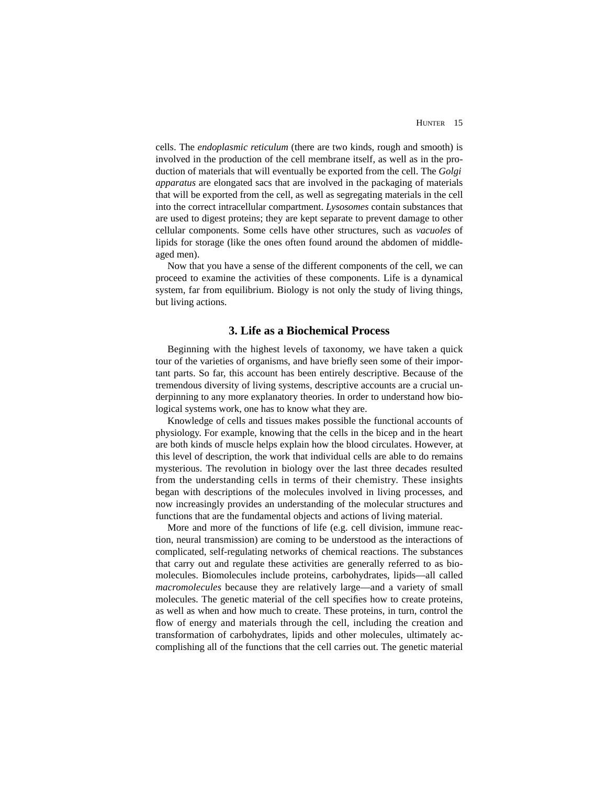cells. The *endoplasmic reticulum* (there are two kinds, rough and smooth) is involved in the production of the cell membrane itself, as well as in the production of materials that will eventually be exported from the cell. The *Golgi apparatus* are elongated sacs that are involved in the packaging of materials that will be exported from the cell, as well as segregating materials in the cell into the correct intracellular compartment. *Lysosomes* contain substances that are used to digest proteins; they are kept separate to prevent damage to other cellular components. Some cells have other structures, such as *vacuoles* of lipids for storage (like the ones often found around the abdomen of middleaged men).

Now that you have a sense of the different components of the cell, we can proceed to examine the activities of these components. Life is a dynamical system, far from equilibrium. Biology is not only the study of living things, but living actions.

# **3. Life as a Biochemical Process**

Beginning with the highest levels of taxonomy, we have taken a quick tour of the varieties of organisms, and have briefly seen some of their important parts. So far, this account has been entirely descriptive. Because of the tremendous diversity of living systems, descriptive accounts are a crucial underpinning to any more explanatory theories. In order to understand how biological systems work, one has to know what they are.

Knowledge of cells and tissues makes possible the functional accounts of physiology. For example, knowing that the cells in the bicep and in the heart are both kinds of muscle helps explain how the blood circulates. However, at this level of description, the work that individual cells are able to do remains mysterious. The revolution in biology over the last three decades resulted from the understanding cells in terms of their chemistry. These insights began with descriptions of the molecules involved in living processes, and now increasingly provides an understanding of the molecular structures and functions that are the fundamental objects and actions of living material.

More and more of the functions of life (e.g. cell division, immune reaction, neural transmission) are coming to be understood as the interactions of complicated, self-regulating networks of chemical reactions. The substances that carry out and regulate these activities are generally referred to as biomolecules. Biomolecules include proteins, carbohydrates, lipids—all called *macromolecules* because they are relatively large—and a variety of small molecules. The genetic material of the cell specifies how to create proteins, as well as when and how much to create. These proteins, in turn, control the flow of energy and materials through the cell, including the creation and transformation of carbohydrates, lipids and other molecules, ultimately accomplishing all of the functions that the cell carries out. The genetic material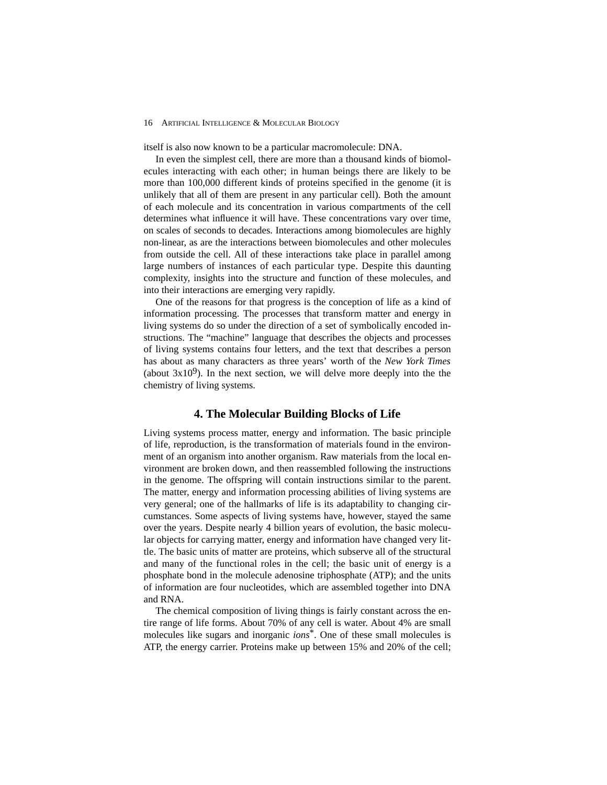itself is also now known to be a particular macromolecule: DNA.

In even the simplest cell, there are more than a thousand kinds of biomolecules interacting with each other; in human beings there are likely to be more than 100,000 different kinds of proteins specified in the genome (it is unlikely that all of them are present in any particular cell). Both the amount of each molecule and its concentration in various compartments of the cell determines what influence it will have. These concentrations vary over time, on scales of seconds to decades. Interactions among biomolecules are highly non-linear, as are the interactions between biomolecules and other molecules from outside the cell. All of these interactions take place in parallel among large numbers of instances of each particular type. Despite this daunting complexity, insights into the structure and function of these molecules, and into their interactions are emerging very rapidly.

One of the reasons for that progress is the conception of life as a kind of information processing. The processes that transform matter and energy in living systems do so under the direction of a set of symbolically encoded instructions. The "machine" language that describes the objects and processes of living systems contains four letters, and the text that describes a person has about as many characters as three years' worth of the *New York Times* (about  $3x10^9$ ). In the next section, we will delve more deeply into the the chemistry of living systems.

# **4. The Molecular Building Blocks of Life**

Living systems process matter, energy and information. The basic principle of life, reproduction, is the transformation of materials found in the environment of an organism into another organism. Raw materials from the local environment are broken down, and then reassembled following the instructions in the genome. The offspring will contain instructions similar to the parent. The matter, energy and information processing abilities of living systems are very general; one of the hallmarks of life is its adaptability to changing circumstances. Some aspects of living systems have, however, stayed the same over the years. Despite nearly 4 billion years of evolution, the basic molecular objects for carrying matter, energy and information have changed very little. The basic units of matter are proteins, which subserve all of the structural and many of the functional roles in the cell; the basic unit of energy is a phosphate bond in the molecule adenosine triphosphate (ATP); and the units of information are four nucleotides, which are assembled together into DNA and RNA.

The chemical composition of living things is fairly constant across the entire range of life forms. About 70% of any cell is water. About 4% are small molecules like sugars and inorganic *ions*\*. One of these small molecules is ATP, the energy carrier. Proteins make up between 15% and 20% of the cell;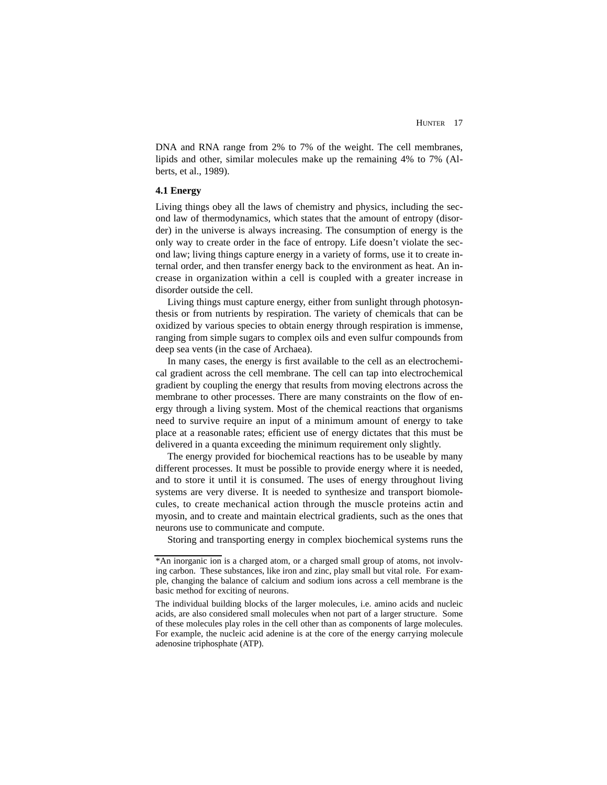DNA and RNA range from 2% to 7% of the weight. The cell membranes, lipids and other, similar molecules make up the remaining 4% to 7% (Alberts, et al., 1989).

# **4.1 Energy**

Living things obey all the laws of chemistry and physics, including the second law of thermodynamics, which states that the amount of entropy (disorder) in the universe is always increasing. The consumption of energy is the only way to create order in the face of entropy. Life doesn't violate the second law; living things capture energy in a variety of forms, use it to create internal order, and then transfer energy back to the environment as heat. An increase in organization within a cell is coupled with a greater increase in disorder outside the cell.

Living things must capture energy, either from sunlight through photosynthesis or from nutrients by respiration. The variety of chemicals that can be oxidized by various species to obtain energy through respiration is immense, ranging from simple sugars to complex oils and even sulfur compounds from deep sea vents (in the case of Archaea).

In many cases, the energy is first available to the cell as an electrochemical gradient across the cell membrane. The cell can tap into electrochemical gradient by coupling the energy that results from moving electrons across the membrane to other processes. There are many constraints on the flow of energy through a living system. Most of the chemical reactions that organisms need to survive require an input of a minimum amount of energy to take place at a reasonable rates; efficient use of energy dictates that this must be delivered in a quanta exceeding the minimum requirement only slightly.

The energy provided for biochemical reactions has to be useable by many different processes. It must be possible to provide energy where it is needed, and to store it until it is consumed. The uses of energy throughout living systems are very diverse. It is needed to synthesize and transport biomolecules, to create mechanical action through the muscle proteins actin and myosin, and to create and maintain electrical gradients, such as the ones that neurons use to communicate and compute.

Storing and transporting energy in complex biochemical systems runs the

<sup>\*</sup>An inorganic ion is a charged atom, or a charged small group of atoms, not involving carbon. These substances, like iron and zinc, play small but vital role. For example, changing the balance of calcium and sodium ions across a cell membrane is the basic method for exciting of neurons.

The individual building blocks of the larger molecules, i.e. amino acids and nucleic acids, are also considered small molecules when not part of a larger structure. Some of these molecules play roles in the cell other than as components of large molecules. For example, the nucleic acid adenine is at the core of the energy carrying molecule adenosine triphosphate (ATP).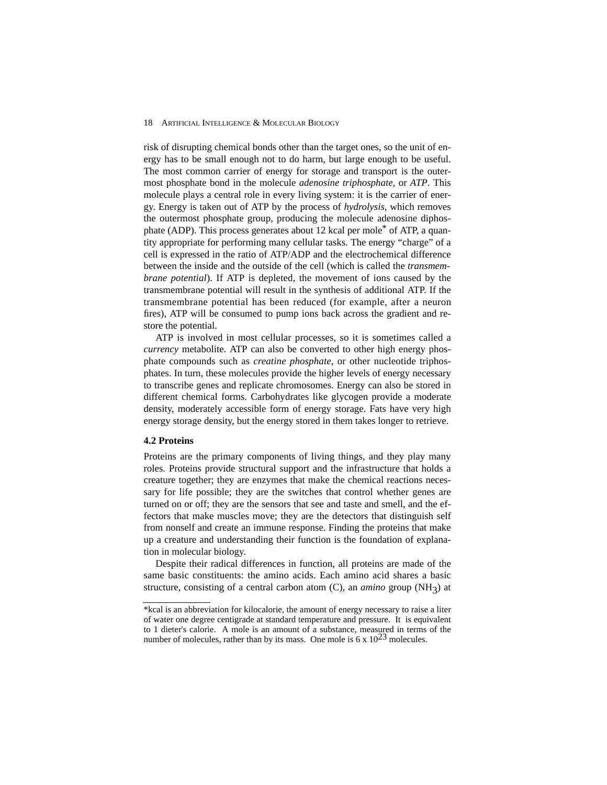risk of disrupting chemical bonds other than the target ones, so the unit of energy has to be small enough not to do harm, but large enough to be useful. The most common carrier of energy for storage and transport is the outermost phosphate bond in the molecule *adenosine triphosphate,* or *ATP*. This molecule plays a central role in every living system: it is the carrier of energy. Energy is taken out of ATP by the process of *hydrolysis*, which removes the outermost phosphate group, producing the molecule adenosine diphosphate (ADP). This process generates about 12 kcal per mole\* of ATP, a quantity appropriate for performing many cellular tasks. The energy "charge" of a cell is expressed in the ratio of ATP/ADP and the electrochemical difference between the inside and the outside of the cell (which is called the *transmembrane potential*). If ATP is depleted, the movement of ions caused by the transmembrane potential will result in the synthesis of additional ATP. If the transmembrane potential has been reduced (for example, after a neuron fires), ATP will be consumed to pump ions back across the gradient and restore the potential.

ATP is involved in most cellular processes, so it is sometimes called a *currency* metabolite. ATP can also be converted to other high energy phosphate compounds such as *creatine phosphate*, or other nucleotide triphosphates. In turn, these molecules provide the higher levels of energy necessary to transcribe genes and replicate chromosomes. Energy can also be stored in different chemical forms. Carbohydrates like glycogen provide a moderate density, moderately accessible form of energy storage. Fats have very high energy storage density, but the energy stored in them takes longer to retrieve.

## **4.2 Proteins**

Proteins are the primary components of living things, and they play many roles. Proteins provide structural support and the infrastructure that holds a creature together; they are enzymes that make the chemical reactions necessary for life possible; they are the switches that control whether genes are turned on or off; they are the sensors that see and taste and smell, and the effectors that make muscles move; they are the detectors that distinguish self from nonself and create an immune response. Finding the proteins that make up a creature and understanding their function is the foundation of explanation in molecular biology.

Despite their radical differences in function, all proteins are made of the same basic constituents: the amino acids. Each amino acid shares a basic structure, consisting of a central carbon atom (C), an *amino* group (NH3) at

<sup>\*</sup>kcal is an abbreviation for kilocalorie, the amount of energy necessary to raise a liter of water one degree centigrade at standard temperature and pressure. It is equivalent to 1 dieter's calorie. A mole is an amount of a substance, measured in terms of the number of molecules, rather than by its mass. One mole is 6 x  $10^{23}$  molecules.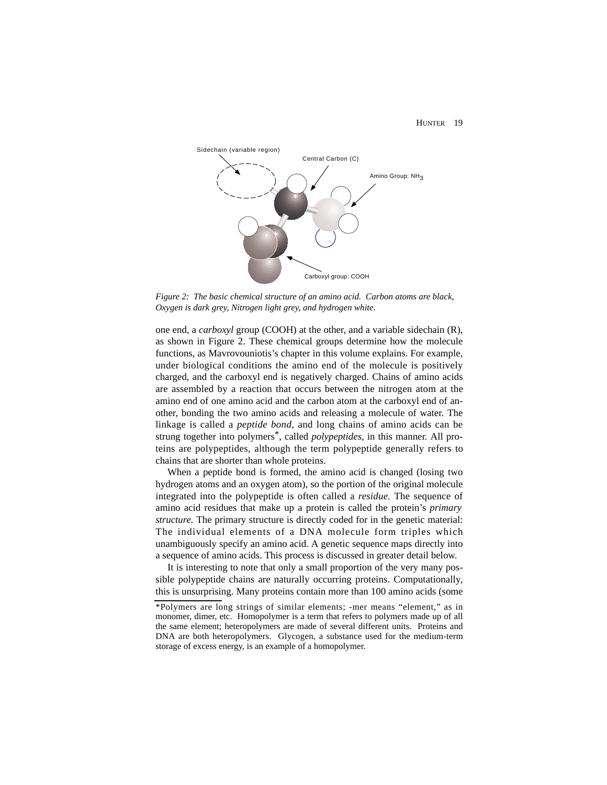## HUNTER 19



*Figure 2: The basic chemical structure of an amino acid. Carbon atoms are black, Oxygen is dark grey, Nitrogen light grey, and hydrogen white.*

one end, a *carboxyl* group (COOH) at the other, and a variable sidechain (R), as shown in Figure 2. These chemical groups determine how the molecule functions, as Mavrovouniotis's chapter in this volume explains. For example, under biological conditions the amino end of the molecule is positively charged, and the carboxyl end is negatively charged. Chains of amino acids are assembled by a reaction that occurs between the nitrogen atom at the amino end of one amino acid and the carbon atom at the carboxyl end of another, bonding the two amino acids and releasing a molecule of water. The linkage is called a *peptide bond*, and long chains of amino acids can be strung together into polymers\*, called *polypeptides*, in this manner. All proteins are polypeptides, although the term polypeptide generally refers to chains that are shorter than whole proteins.

When a peptide bond is formed, the amino acid is changed (losing two hydrogen atoms and an oxygen atom), so the portion of the original molecule integrated into the polypeptide is often called a *residue.* The sequence of amino acid residues that make up a protein is called the protein's *primary structure.* The primary structure is directly coded for in the genetic material: The individual elements of a DNA molecule form triples which unambiguously specify an amino acid. A genetic sequence maps directly into a sequence of amino acids. This process is discussed in greater detail below.

It is interesting to note that only a small proportion of the very many possible polypeptide chains are naturally occurring proteins. Computationally, this is unsurprising. Many proteins contain more than 100 amino acids (some

<sup>\*</sup>Polymers are long strings of similar elements; -mer means "element," as in monomer, dimer, etc. Homopolymer is a term that refers to polymers made up of all the same element; heteropolymers are made of several different units. Proteins and DNA are both heteropolymers. Glycogen, a substance used for the medium-term storage of excess energy, is an example of a homopolymer.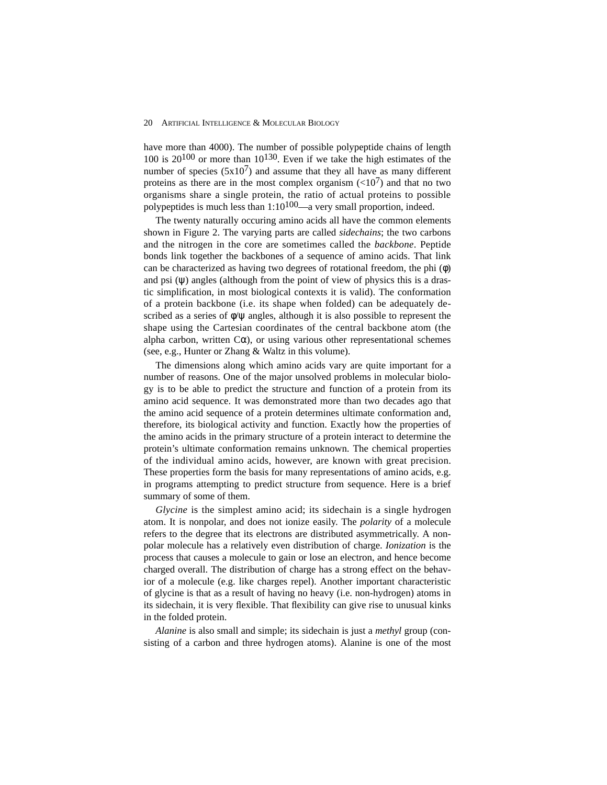have more than 4000). The number of possible polypeptide chains of length 100 is  $20^{100}$  or more than  $10^{130}$ . Even if we take the high estimates of the number of species  $(5x10^7)$  and assume that they all have as many different proteins as there are in the most complex organism  $\left( \langle 10^7 \rangle \right)$  and that no two organisms share a single protein, the ratio of actual proteins to possible polypeptides is much less than  $1:10^{100}$ —a very small proportion, indeed.

The twenty naturally occuring amino acids all have the common elements shown in Figure 2. The varying parts are called *sidechains*; the two carbons and the nitrogen in the core are sometimes called the *backbone*. Peptide bonds link together the backbones of a sequence of amino acids. That link can be characterized as having two degrees of rotational freedom, the phi (φ) and psi (ψ) angles (although from the point of view of physics this is a drastic simplification, in most biological contexts it is valid). The conformation of a protein backbone (i.e. its shape when folded) can be adequately described as a series of  $\phi/\psi$  angles, although it is also possible to represent the shape using the Cartesian coordinates of the central backbone atom (the alpha carbon, written  $C\alpha$ ), or using various other representational schemes (see, e.g., Hunter or Zhang & Waltz in this volume).

The dimensions along which amino acids vary are quite important for a number of reasons. One of the major unsolved problems in molecular biology is to be able to predict the structure and function of a protein from its amino acid sequence. It was demonstrated more than two decades ago that the amino acid sequence of a protein determines ultimate conformation and, therefore, its biological activity and function. Exactly how the properties of the amino acids in the primary structure of a protein interact to determine the protein's ultimate conformation remains unknown. The chemical properties of the individual amino acids, however, are known with great precision. These properties form the basis for many representations of amino acids, e.g. in programs attempting to predict structure from sequence. Here is a brief summary of some of them.

*Glycine* is the simplest amino acid; its sidechain is a single hydrogen atom. It is nonpolar, and does not ionize easily. The *polarity* of a molecule refers to the degree that its electrons are distributed asymmetrically. A nonpolar molecule has a relatively even distribution of charge. *Ionization* is the process that causes a molecule to gain or lose an electron, and hence become charged overall. The distribution of charge has a strong effect on the behavior of a molecule (e.g. like charges repel). Another important characteristic of glycine is that as a result of having no heavy (i.e. non-hydrogen) atoms in its sidechain, it is very flexible. That flexibility can give rise to unusual kinks in the folded protein.

*Alanine* is also small and simple; its sidechain is just a *methyl* group (consisting of a carbon and three hydrogen atoms). Alanine is one of the most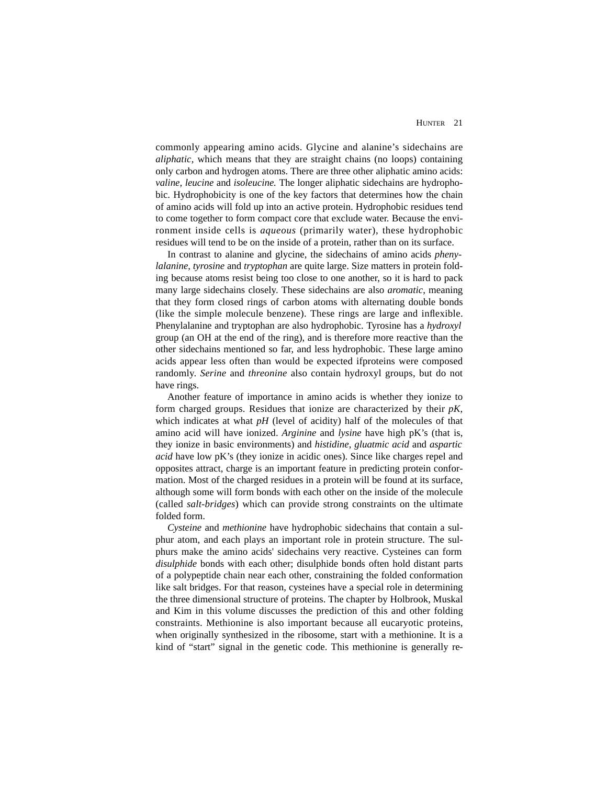## HUNTER 21

commonly appearing amino acids. Glycine and alanine's sidechains are *aliphatic*, which means that they are straight chains (no loops) containing only carbon and hydrogen atoms. There are three other aliphatic amino acids: *valine, leucine* and *isoleucine.* The longer aliphatic sidechains are hydrophobic. Hydrophobicity is one of the key factors that determines how the chain of amino acids will fold up into an active protein. Hydrophobic residues tend to come together to form compact core that exclude water. Because the environment inside cells is *aqueous* (primarily water), these hydrophobic residues will tend to be on the inside of a protein, rather than on its surface.

In contrast to alanine and glycine, the sidechains of amino acids *phenylalanine*, *tyrosine* and *tryptophan* are quite large. Size matters in protein folding because atoms resist being too close to one another, so it is hard to pack many large sidechains closely. These sidechains are also *aromatic*, meaning that they form closed rings of carbon atoms with alternating double bonds (like the simple molecule benzene). These rings are large and inflexible. Phenylalanine and tryptophan are also hydrophobic. Tyrosine has a *hydroxyl* group (an OH at the end of the ring), and is therefore more reactive than the other sidechains mentioned so far, and less hydrophobic. These large amino acids appear less often than would be expected ifproteins were composed randomly. *Serine* and *threonine* also contain hydroxyl groups, but do not have rings.

Another feature of importance in amino acids is whether they ionize to form charged groups. Residues that ionize are characterized by their *pK*, which indicates at what *pH* (level of acidity) half of the molecules of that amino acid will have ionized. *Arginine* and *lysine* have high pK's (that is, they ionize in basic environments) and *histidine*, *gluatmic acid* and *aspartic acid* have low pK's (they ionize in acidic ones). Since like charges repel and opposites attract, charge is an important feature in predicting protein conformation. Most of the charged residues in a protein will be found at its surface, although some will form bonds with each other on the inside of the molecule (called *salt-bridges*) which can provide strong constraints on the ultimate folded form.

*Cysteine* and *methionine* have hydrophobic sidechains that contain a sulphur atom, and each plays an important role in protein structure. The sulphurs make the amino acids' sidechains very reactive. Cysteines can form *disulphide* bonds with each other; disulphide bonds often hold distant parts of a polypeptide chain near each other, constraining the folded conformation like salt bridges. For that reason, cysteines have a special role in determining the three dimensional structure of proteins. The chapter by Holbrook, Muskal and Kim in this volume discusses the prediction of this and other folding constraints. Methionine is also important because all eucaryotic proteins, when originally synthesized in the ribosome, start with a methionine. It is a kind of "start" signal in the genetic code. This methionine is generally re-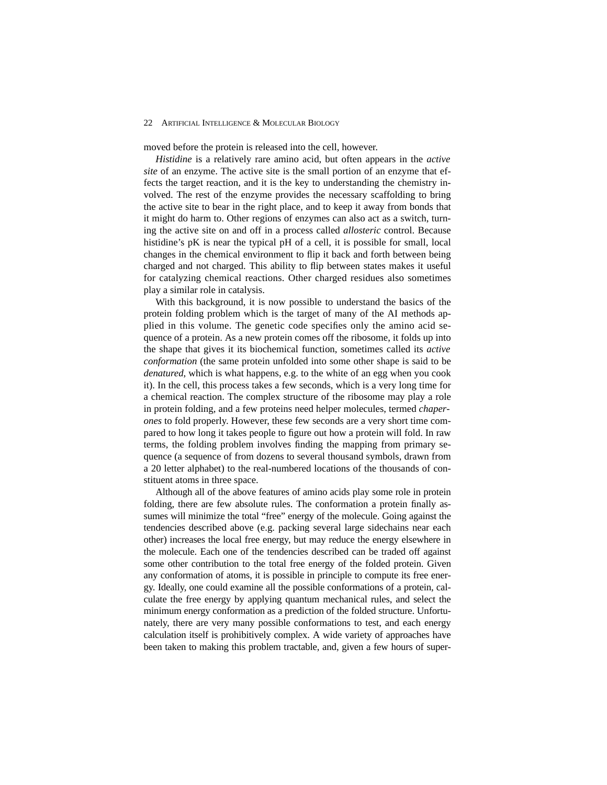moved before the protein is released into the cell, however.

*Histidine* is a relatively rare amino acid, but often appears in the *active site* of an enzyme. The active site is the small portion of an enzyme that effects the target reaction, and it is the key to understanding the chemistry involved. The rest of the enzyme provides the necessary scaffolding to bring the active site to bear in the right place, and to keep it away from bonds that it might do harm to. Other regions of enzymes can also act as a switch, turning the active site on and off in a process called *allosteric* control. Because histidine's pK is near the typical pH of a cell, it is possible for small, local changes in the chemical environment to flip it back and forth between being charged and not charged. This ability to flip between states makes it useful for catalyzing chemical reactions. Other charged residues also sometimes play a similar role in catalysis.

With this background, it is now possible to understand the basics of the protein folding problem which is the target of many of the AI methods applied in this volume. The genetic code specifies only the amino acid sequence of a protein. As a new protein comes off the ribosome, it folds up into the shape that gives it its biochemical function, sometimes called its *active conformation* (the same protein unfolded into some other shape is said to be *denatured*, which is what happens, e.g. to the white of an egg when you cook it). In the cell, this process takes a few seconds, which is a very long time for a chemical reaction. The complex structure of the ribosome may play a role in protein folding, and a few proteins need helper molecules, termed *chaperones* to fold properly. However, these few seconds are a very short time compared to how long it takes people to figure out how a protein will fold. In raw terms, the folding problem involves finding the mapping from primary sequence (a sequence of from dozens to several thousand symbols, drawn from a 20 letter alphabet) to the real-numbered locations of the thousands of constituent atoms in three space.

Although all of the above features of amino acids play some role in protein folding, there are few absolute rules. The conformation a protein finally assumes will minimize the total "free" energy of the molecule. Going against the tendencies described above (e.g. packing several large sidechains near each other) increases the local free energy, but may reduce the energy elsewhere in the molecule. Each one of the tendencies described can be traded off against some other contribution to the total free energy of the folded protein. Given any conformation of atoms, it is possible in principle to compute its free energy. Ideally, one could examine all the possible conformations of a protein, calculate the free energy by applying quantum mechanical rules, and select the minimum energy conformation as a prediction of the folded structure. Unfortunately, there are very many possible conformations to test, and each energy calculation itself is prohibitively complex. A wide variety of approaches have been taken to making this problem tractable, and, given a few hours of super-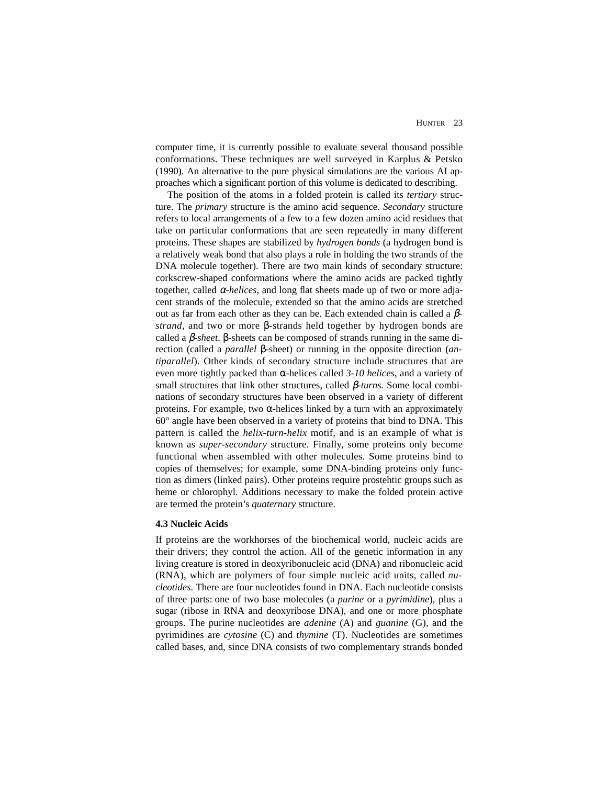## HUNTER 23

computer time, it is currently possible to evaluate several thousand possible conformations. These techniques are well surveyed in Karplus & Petsko (1990). An alternative to the pure physical simulations are the various AI approaches which a significant portion of this volume is dedicated to describing.

The position of the atoms in a folded protein is called its *tertiary* structure. The *primary* structure is the amino acid sequence. *Secondary* structure refers to local arrangements of a few to a few dozen amino acid residues that take on particular conformations that are seen repeatedly in many different proteins. These shapes are stabilized by *hydrogen bonds* (a hydrogen bond is a relatively weak bond that also plays a role in holding the two strands of the DNA molecule together). There are two main kinds of secondary structure: corkscrew-shaped conformations where the amino acids are packed tightly together, called α*-helices*, and long flat sheets made up of two or more adjacent strands of the molecule, extended so that the amino acids are stretched out as far from each other as they can be. Each extended chain is called a β*strand*, and two or more β-strands held together by hydrogen bonds are called a β*-sheet*. β-sheets can be composed of strands running in the same direction (called a *parallel* β-sheet) or running in the opposite direction (*antiparallel*). Other kinds of secondary structure include structures that are even more tightly packed than α-helices called *3-10 helices*, and a variety of small structures that link other structures, called β*-turns.* Some local combinations of secondary structures have been observed in a variety of different proteins. For example, two  $\alpha$ -helices linked by a turn with an approximately 60° angle have been observed in a variety of proteins that bind to DNA. This pattern is called the *helix-turn-helix* motif, and is an example of what is known as *super-secondary* structure*.* Finally, some proteins only become functional when assembled with other molecules. Some proteins bind to copies of themselves; for example, some DNA-binding proteins only function as dimers (linked pairs). Other proteins require prostehtic groups such as heme or chlorophyl. Additions necessary to make the folded protein active are termed the protein's *quaternary* structure.

## **4.3 Nucleic Acids**

If proteins are the workhorses of the biochemical world, nucleic acids are their drivers; they control the action. All of the genetic information in any living creature is stored in deoxyribonucleic acid (DNA) and ribonucleic acid (RNA), which are polymers of four simple nucleic acid units, called *nucleotides*. There are four nucleotides found in DNA. Each nucleotide consists of three parts: one of two base molecules (a *purine* or a *pyrimidine*), plus a sugar (ribose in RNA and deoxyribose DNA), and one or more phosphate groups. The purine nucleotides are *adenine* (A) and *guanine* (G), and the pyrimidines are *cytosine* (C) and *thymine* (T). Nucleotides are sometimes called bases, and, since DNA consists of two complementary strands bonded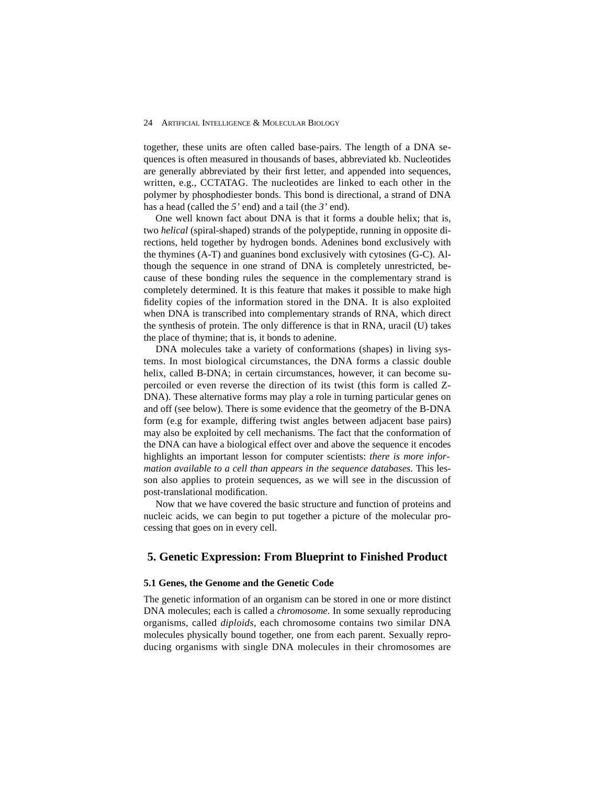together, these units are often called base-pairs. The length of a DNA sequences is often measured in thousands of bases, abbreviated kb. Nucleotides are generally abbreviated by their first letter, and appended into sequences, written, e.g., CCTATAG. The nucleotides are linked to each other in the polymer by phosphodiester bonds. This bond is directional, a strand of DNA has a head (called the *5'* end) and a tail (the *3'* end).

One well known fact about DNA is that it forms a double helix; that is, two *helical* (spiral-shaped) strands of the polypeptide, running in opposite directions, held together by hydrogen bonds. Adenines bond exclusively with the thymines (A-T) and guanines bond exclusively with cytosines (G-C). Although the sequence in one strand of DNA is completely unrestricted, because of these bonding rules the sequence in the complementary strand is completely determined. It is this feature that makes it possible to make high fidelity copies of the information stored in the DNA. It is also exploited when DNA is transcribed into complementary strands of RNA, which direct the synthesis of protein. The only difference is that in RNA, uracil (U) takes the place of thymine; that is, it bonds to adenine.

DNA molecules take a variety of conformations (shapes) in living systems. In most biological circumstances, the DNA forms a classic double helix, called B-DNA; in certain circumstances, however, it can become supercoiled or even reverse the direction of its twist (this form is called Z-DNA). These alternative forms may play a role in turning particular genes on and off (see below). There is some evidence that the geometry of the B-DNA form (e.g for example, differing twist angles between adjacent base pairs) may also be exploited by cell mechanisms. The fact that the conformation of the DNA can have a biological effect over and above the sequence it encodes highlights an important lesson for computer scientists: *there is more information available to a cell than appears in the sequence databases.* This lesson also applies to protein sequences, as we will see in the discussion of post-translational modification.

Now that we have covered the basic structure and function of proteins and nucleic acids, we can begin to put together a picture of the molecular processing that goes on in every cell.

# **5. Genetic Expression: From Blueprint to Finished Product**

# **5.1 Genes, the Genome and the Genetic Code**

The genetic information of an organism can be stored in one or more distinct DNA molecules; each is called a *chromosome*. In some sexually reproducing organisms, called *diploids*, each chromosome contains two similar DNA molecules physically bound together, one from each parent. Sexually reproducing organisms with single DNA molecules in their chromosomes are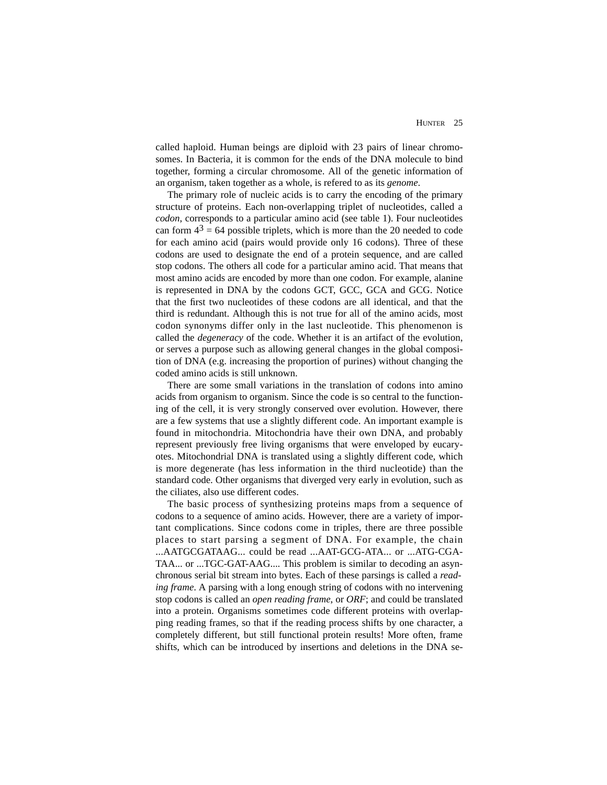called haploid. Human beings are diploid with 23 pairs of linear chromosomes. In Bacteria, it is common for the ends of the DNA molecule to bind together, forming a circular chromosome. All of the genetic information of an organism, taken together as a whole, is refered to as its *genome*.

The primary role of nucleic acids is to carry the encoding of the primary structure of proteins. Each non-overlapping triplet of nucleotides, called a *codon*, corresponds to a particular amino acid (see table 1). Four nucleotides can form  $4^3 = 64$  possible triplets, which is more than the 20 needed to code for each amino acid (pairs would provide only 16 codons). Three of these codons are used to designate the end of a protein sequence, and are called stop codons. The others all code for a particular amino acid. That means that most amino acids are encoded by more than one codon. For example, alanine is represented in DNA by the codons GCT, GCC, GCA and GCG. Notice that the first two nucleotides of these codons are all identical, and that the third is redundant. Although this is not true for all of the amino acids, most codon synonyms differ only in the last nucleotide. This phenomenon is called the *degeneracy* of the code. Whether it is an artifact of the evolution, or serves a purpose such as allowing general changes in the global composition of DNA (e.g. increasing the proportion of purines) without changing the coded amino acids is still unknown.

There are some small variations in the translation of codons into amino acids from organism to organism. Since the code is so central to the functioning of the cell, it is very strongly conserved over evolution. However, there are a few systems that use a slightly different code. An important example is found in mitochondria. Mitochondria have their own DNA, and probably represent previously free living organisms that were enveloped by eucaryotes. Mitochondrial DNA is translated using a slightly different code, which is more degenerate (has less information in the third nucleotide) than the standard code. Other organisms that diverged very early in evolution, such as the ciliates, also use different codes.

The basic process of synthesizing proteins maps from a sequence of codons to a sequence of amino acids. However, there are a variety of important complications. Since codons come in triples, there are three possible places to start parsing a segment of DNA. For example, the chain ...AATGCGATAAG... could be read ...AAT-GCG-ATA... or ...ATG-CGA-TAA... or ...TGC-GAT-AAG.... This problem is similar to decoding an asynchronous serial bit stream into bytes. Each of these parsings is called a *reading frame*. A parsing with a long enough string of codons with no intervening stop codons is called an *open reading frame*, or *ORF*; and could be translated into a protein. Organisms sometimes code different proteins with overlapping reading frames, so that if the reading process shifts by one character, a completely different, but still functional protein results! More often, frame shifts, which can be introduced by insertions and deletions in the DNA se-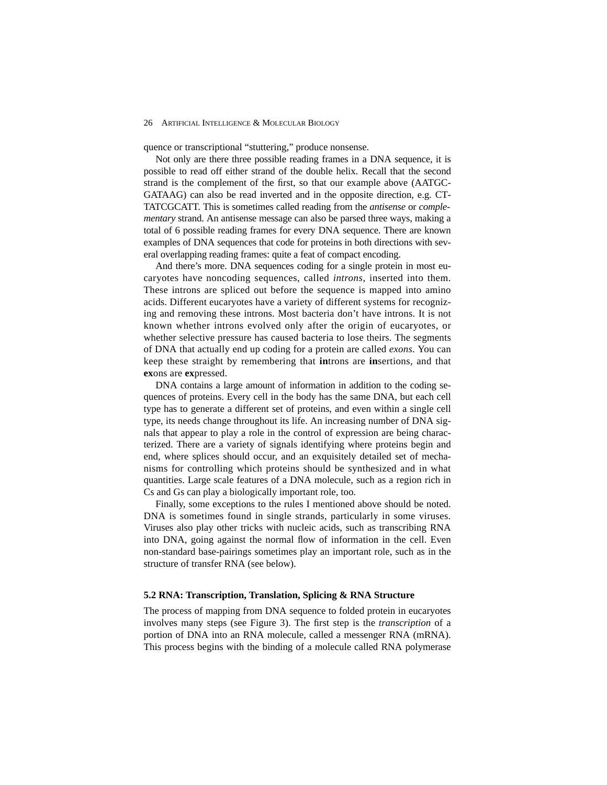quence or transcriptional "stuttering," produce nonsense.

Not only are there three possible reading frames in a DNA sequence, it is possible to read off either strand of the double helix. Recall that the second strand is the complement of the first, so that our example above (AATGC-GATAAG) can also be read inverted and in the opposite direction, e.g. CT-TATCGCATT. This is sometimes called reading from the *antisense* or *complementary* strand. An antisense message can also be parsed three ways, making a total of 6 possible reading frames for every DNA sequence. There are known examples of DNA sequences that code for proteins in both directions with several overlapping reading frames: quite a feat of compact encoding.

And there's more. DNA sequences coding for a single protein in most eucaryotes have noncoding sequences, called *introns*, inserted into them. These introns are spliced out before the sequence is mapped into amino acids. Different eucaryotes have a variety of different systems for recognizing and removing these introns. Most bacteria don't have introns. It is not known whether introns evolved only after the origin of eucaryotes, or whether selective pressure has caused bacteria to lose theirs. The segments of DNA that actually end up coding for a protein are called *exons*. You can keep these straight by remembering that **in**trons are **in**sertions, and that **ex**ons are **ex**pressed.

DNA contains a large amount of information in addition to the coding sequences of proteins. Every cell in the body has the same DNA, but each cell type has to generate a different set of proteins, and even within a single cell type, its needs change throughout its life. An increasing number of DNA signals that appear to play a role in the control of expression are being characterized. There are a variety of signals identifying where proteins begin and end, where splices should occur, and an exquisitely detailed set of mechanisms for controlling which proteins should be synthesized and in what quantities. Large scale features of a DNA molecule, such as a region rich in Cs and Gs can play a biologically important role, too.

Finally, some exceptions to the rules I mentioned above should be noted. DNA is sometimes found in single strands, particularly in some viruses. Viruses also play other tricks with nucleic acids, such as transcribing RNA into DNA, going against the normal flow of information in the cell. Even non-standard base-pairings sometimes play an important role, such as in the structure of transfer RNA (see below).

## **5.2 RNA: Transcription, Translation, Splicing & RNA Structure**

The process of mapping from DNA sequence to folded protein in eucaryotes involves many steps (see Figure 3). The first step is the *transcription* of a portion of DNA into an RNA molecule, called a messenger RNA (mRNA). This process begins with the binding of a molecule called RNA polymerase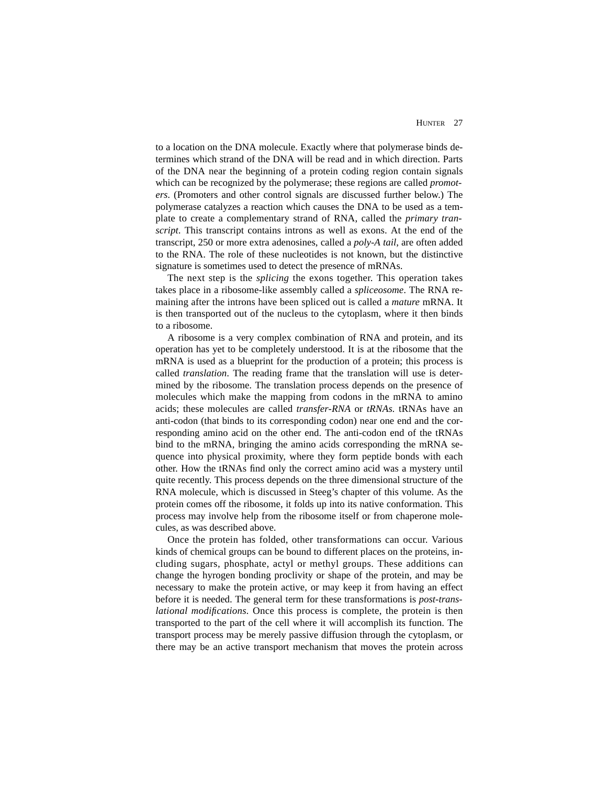to a location on the DNA molecule. Exactly where that polymerase binds determines which strand of the DNA will be read and in which direction. Parts of the DNA near the beginning of a protein coding region contain signals which can be recognized by the polymerase; these regions are called *promoters*. (Promoters and other control signals are discussed further below.) The polymerase catalyzes a reaction which causes the DNA to be used as a template to create a complementary strand of RNA, called the *primary transcript*. This transcript contains introns as well as exons. At the end of the transcript, 250 or more extra adenosines, called a *poly-A tail*, are often added to the RNA. The role of these nucleotides is not known, but the distinctive signature is sometimes used to detect the presence of mRNAs.

The next step is the *splicing* the exons together. This operation takes takes place in a ribosome-like assembly called a *spliceosome*. The RNA remaining after the introns have been spliced out is called a *mature* mRNA. It is then transported out of the nucleus to the cytoplasm, where it then binds to a ribosome.

A ribosome is a very complex combination of RNA and protein, and its operation has yet to be completely understood. It is at the ribosome that the mRNA is used as a blueprint for the production of a protein; this process is called *translation*. The reading frame that the translation will use is determined by the ribosome. The translation process depends on the presence of molecules which make the mapping from codons in the mRNA to amino acids; these molecules are called *transfer-RNA* or *tRNAs.* tRNAs have an anti-codon (that binds to its corresponding codon) near one end and the corresponding amino acid on the other end. The anti-codon end of the tRNAs bind to the mRNA, bringing the amino acids corresponding the mRNA sequence into physical proximity, where they form peptide bonds with each other. How the tRNAs find only the correct amino acid was a mystery until quite recently. This process depends on the three dimensional structure of the RNA molecule, which is discussed in Steeg's chapter of this volume. As the protein comes off the ribosome, it folds up into its native conformation. This process may involve help from the ribosome itself or from chaperone molecules, as was described above.

Once the protein has folded, other transformations can occur. Various kinds of chemical groups can be bound to different places on the proteins, including sugars, phosphate, actyl or methyl groups. These additions can change the hyrogen bonding proclivity or shape of the protein, and may be necessary to make the protein active, or may keep it from having an effect before it is needed. The general term for these transformations is *post-translational modifications.* Once this process is complete, the protein is then transported to the part of the cell where it will accomplish its function. The transport process may be merely passive diffusion through the cytoplasm, or there may be an active transport mechanism that moves the protein across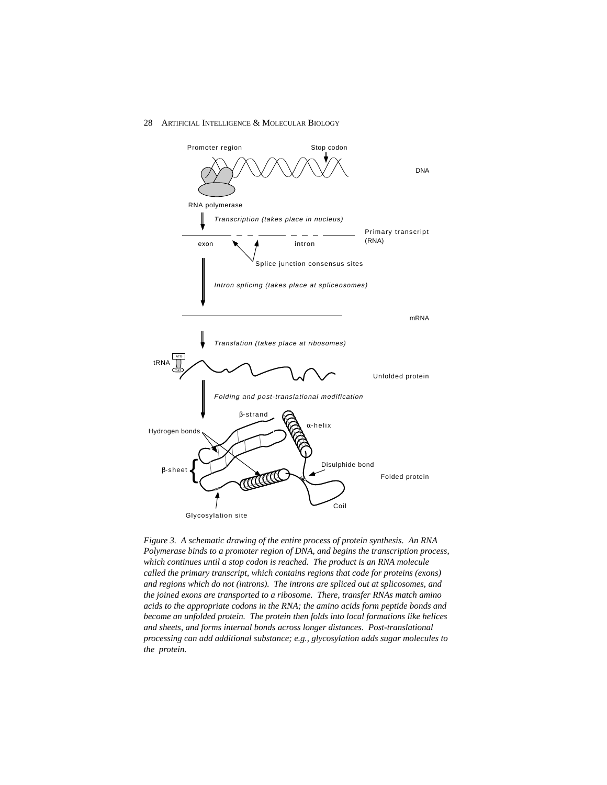

*Figure 3. A schematic drawing of the entire process of protein synthesis. An RNA Polymerase binds to a promoter region of DNA, and begins the transcription process, which continues until a stop codon is reached. The product is an RNA molecule called the primary transcript, which contains regions that code for proteins (exons) and regions which do not (introns). The introns are spliced out at splicosomes, and the joined exons are transported to a ribosome. There, transfer RNAs match amino acids to the appropriate codons in the RNA; the amino acids form peptide bonds and become an unfolded protein. The protein then folds into local formations like helices and sheets, and forms internal bonds across longer distances. Post-translational processing can add additional substance; e.g., glycosylation adds sugar molecules to the protein.*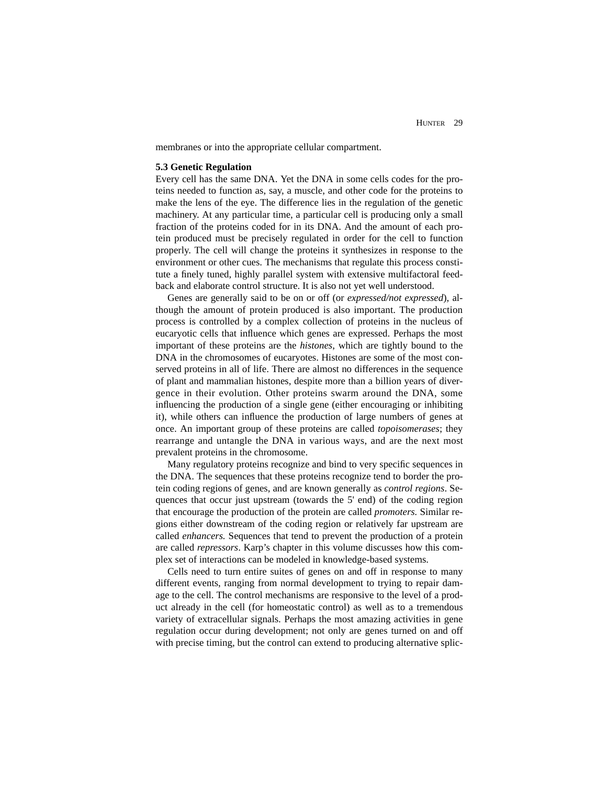HUNTER 29

membranes or into the appropriate cellular compartment.

## **5.3 Genetic Regulation**

Every cell has the same DNA. Yet the DNA in some cells codes for the proteins needed to function as, say, a muscle, and other code for the proteins to make the lens of the eye. The difference lies in the regulation of the genetic machinery. At any particular time, a particular cell is producing only a small fraction of the proteins coded for in its DNA. And the amount of each protein produced must be precisely regulated in order for the cell to function properly. The cell will change the proteins it synthesizes in response to the environment or other cues. The mechanisms that regulate this process constitute a finely tuned, highly parallel system with extensive multifactoral feedback and elaborate control structure. It is also not yet well understood.

Genes are generally said to be on or off (or *expressed/not expressed*), although the amount of protein produced is also important. The production process is controlled by a complex collection of proteins in the nucleus of eucaryotic cells that influence which genes are expressed. Perhaps the most important of these proteins are the *histones*, which are tightly bound to the DNA in the chromosomes of eucaryotes. Histones are some of the most conserved proteins in all of life. There are almost no differences in the sequence of plant and mammalian histones, despite more than a billion years of divergence in their evolution. Other proteins swarm around the DNA, some influencing the production of a single gene (either encouraging or inhibiting it), while others can influence the production of large numbers of genes at once. An important group of these proteins are called *topoisomerases*; they rearrange and untangle the DNA in various ways, and are the next most prevalent proteins in the chromosome.

Many regulatory proteins recognize and bind to very specific sequences in the DNA. The sequences that these proteins recognize tend to border the protein coding regions of genes, and are known generally as *control regions*. Sequences that occur just upstream (towards the 5' end) of the coding region that encourage the production of the protein are called *promoters.* Similar regions either downstream of the coding region or relatively far upstream are called *enhancers.* Sequences that tend to prevent the production of a protein are called *repressors*. Karp's chapter in this volume discusses how this complex set of interactions can be modeled in knowledge-based systems.

Cells need to turn entire suites of genes on and off in response to many different events, ranging from normal development to trying to repair damage to the cell. The control mechanisms are responsive to the level of a product already in the cell (for homeostatic control) as well as to a tremendous variety of extracellular signals. Perhaps the most amazing activities in gene regulation occur during development; not only are genes turned on and off with precise timing, but the control can extend to producing alternative splic-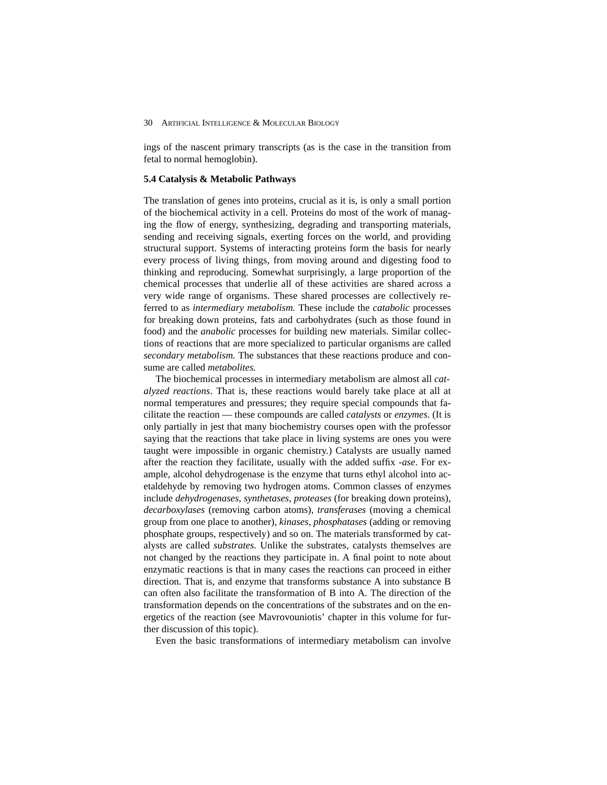ings of the nascent primary transcripts (as is the case in the transition from fetal to normal hemoglobin).

## **5.4 Catalysis & Metabolic Pathways**

The translation of genes into proteins, crucial as it is, is only a small portion of the biochemical activity in a cell. Proteins do most of the work of managing the flow of energy, synthesizing, degrading and transporting materials, sending and receiving signals, exerting forces on the world, and providing structural support. Systems of interacting proteins form the basis for nearly every process of living things, from moving around and digesting food to thinking and reproducing. Somewhat surprisingly, a large proportion of the chemical processes that underlie all of these activities are shared across a very wide range of organisms. These shared processes are collectively referred to as *intermediary metabolism.* These include the *catabolic* processes for breaking down proteins, fats and carbohydrates (such as those found in food) and the *anabolic* processes for building new materials. Similar collections of reactions that are more specialized to particular organisms are called *secondary metabolism.* The substances that these reactions produce and consume are called *metabolites.*

The biochemical processes in intermediary metabolism are almost all *catalyzed reactions*. That is, these reactions would barely take place at all at normal temperatures and pressures; they require special compounds that facilitate the reaction — these compounds are called *catalysts* or *enzymes*. (It is only partially in jest that many biochemistry courses open with the professor saying that the reactions that take place in living systems are ones you were taught were impossible in organic chemistry.) Catalysts are usually named after the reaction they facilitate, usually with the added suffix *-ase*. For example, alcohol dehydrogenase is the enzyme that turns ethyl alcohol into acetaldehyde by removing two hydrogen atoms. Common classes of enzymes include *dehydrogenases*, *synthetases*, *proteases* (for breaking down proteins), *decarboxylases* (removing carbon atoms), *transferases* (moving a chemical group from one place to another), *kinases, phosphatases* (adding or removing phosphate groups, respectively) and so on. The materials transformed by catalysts are called *substrates.* Unlike the substrates, catalysts themselves are not changed by the reactions they participate in. A final point to note about enzymatic reactions is that in many cases the reactions can proceed in either direction. That is, and enzyme that transforms substance A into substance B can often also facilitate the transformation of B into A. The direction of the transformation depends on the concentrations of the substrates and on the energetics of the reaction (see Mavrovouniotis' chapter in this volume for further discussion of this topic).

Even the basic transformations of intermediary metabolism can involve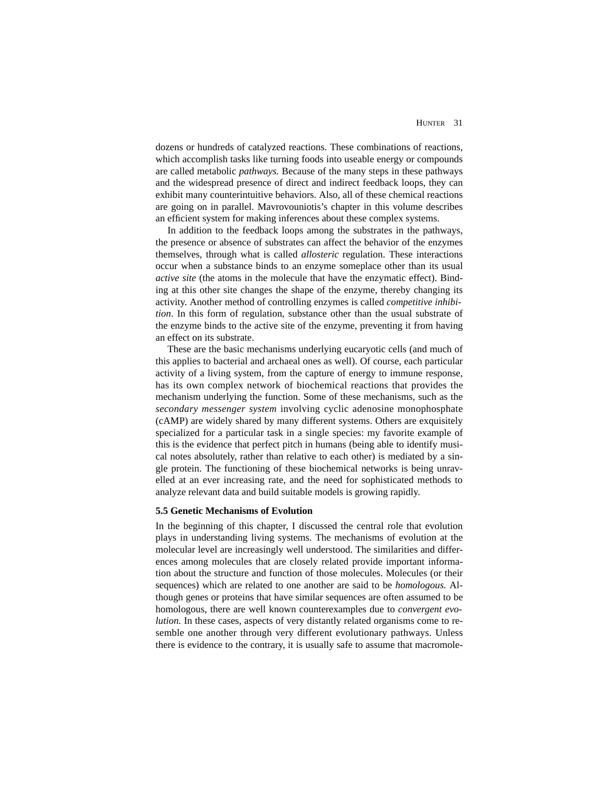## HUNTER 31

dozens or hundreds of catalyzed reactions. These combinations of reactions, which accomplish tasks like turning foods into useable energy or compounds are called metabolic *pathways.* Because of the many steps in these pathways and the widespread presence of direct and indirect feedback loops, they can exhibit many counterintuitive behaviors. Also, all of these chemical reactions are going on in parallel. Mavrovouniotis's chapter in this volume describes an efficient system for making inferences about these complex systems.

In addition to the feedback loops among the substrates in the pathways, the presence or absence of substrates can affect the behavior of the enzymes themselves, through what is called *allosteric* regulation. These interactions occur when a substance binds to an enzyme someplace other than its usual *active site* (the atoms in the molecule that have the enzymatic effect). Binding at this other site changes the shape of the enzyme, thereby changing its activity. Another method of controlling enzymes is called *competitive inhibition*. In this form of regulation, substance other than the usual substrate of the enzyme binds to the active site of the enzyme, preventing it from having an effect on its substrate.

These are the basic mechanisms underlying eucaryotic cells (and much of this applies to bacterial and archaeal ones as well). Of course, each particular activity of a living system, from the capture of energy to immune response, has its own complex network of biochemical reactions that provides the mechanism underlying the function. Some of these mechanisms, such as the *secondary messenger system* involving cyclic adenosine monophosphate (cAMP) are widely shared by many different systems. Others are exquisitely specialized for a particular task in a single species: my favorite example of this is the evidence that perfect pitch in humans (being able to identify musical notes absolutely, rather than relative to each other) is mediated by a single protein. The functioning of these biochemical networks is being unravelled at an ever increasing rate, and the need for sophisticated methods to analyze relevant data and build suitable models is growing rapidly.

## **5.5 Genetic Mechanisms of Evolution**

In the beginning of this chapter, I discussed the central role that evolution plays in understanding living systems. The mechanisms of evolution at the molecular level are increasingly well understood. The similarities and differences among molecules that are closely related provide important information about the structure and function of those molecules. Molecules (or their sequences) which are related to one another are said to be *homologous.* Although genes or proteins that have similar sequences are often assumed to be homologous, there are well known counterexamples due to *convergent evolution.* In these cases, aspects of very distantly related organisms come to resemble one another through very different evolutionary pathways. Unless there is evidence to the contrary, it is usually safe to assume that macromole-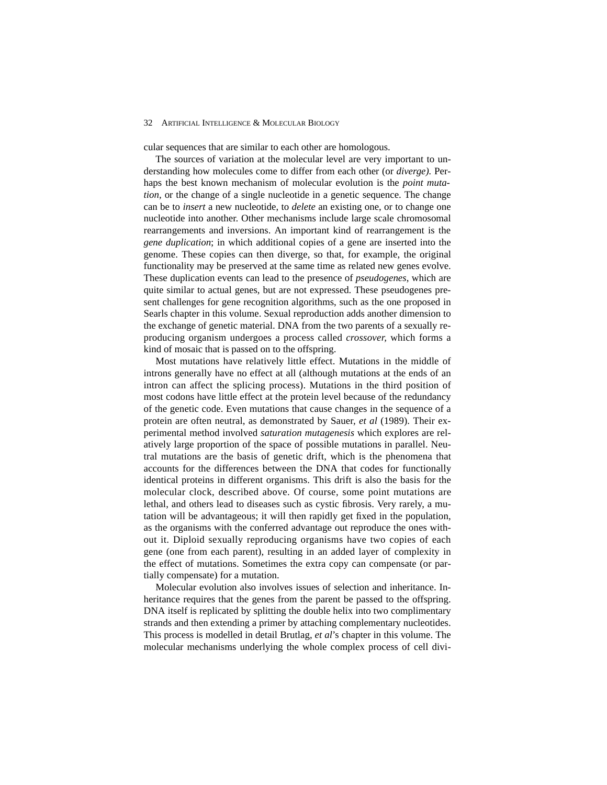cular sequences that are similar to each other are homologous.

The sources of variation at the molecular level are very important to understanding how molecules come to differ from each other (or *diverge).* Perhaps the best known mechanism of molecular evolution is the *point mutation*, or the change of a single nucleotide in a genetic sequence. The change can be to *insert* a new nucleotide, to *delete* an existing one, or to change one nucleotide into another. Other mechanisms include large scale chromosomal rearrangements and inversions. An important kind of rearrangement is the *gene duplication*; in which additional copies of a gene are inserted into the genome. These copies can then diverge, so that, for example, the original functionality may be preserved at the same time as related new genes evolve. These duplication events can lead to the presence of *pseudogenes*, which are quite similar to actual genes, but are not expressed. These pseudogenes present challenges for gene recognition algorithms, such as the one proposed in Searls chapter in this volume. Sexual reproduction adds another dimension to the exchange of genetic material. DNA from the two parents of a sexually reproducing organism undergoes a process called *crossover,* which forms a kind of mosaic that is passed on to the offspring.

Most mutations have relatively little effect. Mutations in the middle of introns generally have no effect at all (although mutations at the ends of an intron can affect the splicing process). Mutations in the third position of most codons have little effect at the protein level because of the redundancy of the genetic code. Even mutations that cause changes in the sequence of a protein are often neutral, as demonstrated by Sauer, *et al* (1989). Their experimental method involved *saturation mutagenesis* which explores are relatively large proportion of the space of possible mutations in parallel. Neutral mutations are the basis of genetic drift, which is the phenomena that accounts for the differences between the DNA that codes for functionally identical proteins in different organisms. This drift is also the basis for the molecular clock, described above. Of course, some point mutations are lethal, and others lead to diseases such as cystic fibrosis. Very rarely, a mutation will be advantageous; it will then rapidly get fixed in the population, as the organisms with the conferred advantage out reproduce the ones without it. Diploid sexually reproducing organisms have two copies of each gene (one from each parent), resulting in an added layer of complexity in the effect of mutations. Sometimes the extra copy can compensate (or partially compensate) for a mutation.

Molecular evolution also involves issues of selection and inheritance. Inheritance requires that the genes from the parent be passed to the offspring. DNA itself is replicated by splitting the double helix into two complimentary strands and then extending a primer by attaching complementary nucleotides. This process is modelled in detail Brutlag, *et al*'s chapter in this volume. The molecular mechanisms underlying the whole complex process of cell divi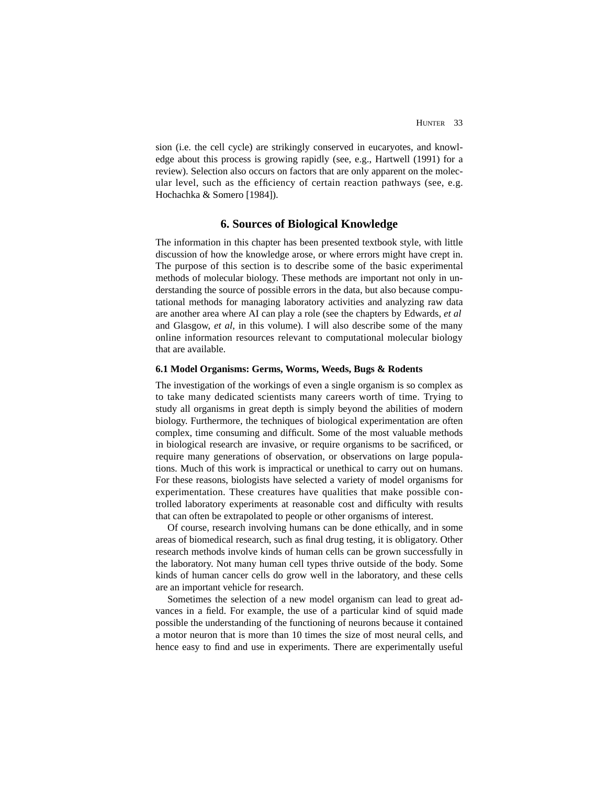sion (i.e. the cell cycle) are strikingly conserved in eucaryotes, and knowledge about this process is growing rapidly (see, e.g., Hartwell (1991) for a review). Selection also occurs on factors that are only apparent on the molecular level, such as the efficiency of certain reaction pathways (see, e.g. Hochachka & Somero [1984]).

# **6. Sources of Biological Knowledge**

The information in this chapter has been presented textbook style, with little discussion of how the knowledge arose, or where errors might have crept in. The purpose of this section is to describe some of the basic experimental methods of molecular biology. These methods are important not only in understanding the source of possible errors in the data, but also because computational methods for managing laboratory activities and analyzing raw data are another area where AI can play a role (see the chapters by Edwards, *et al* and Glasgow, *et al*, in this volume). I will also describe some of the many online information resources relevant to computational molecular biology that are available.

## **6.1 Model Organisms: Germs, Worms, Weeds, Bugs & Rodents**

The investigation of the workings of even a single organism is so complex as to take many dedicated scientists many careers worth of time. Trying to study all organisms in great depth is simply beyond the abilities of modern biology. Furthermore, the techniques of biological experimentation are often complex, time consuming and difficult. Some of the most valuable methods in biological research are invasive, or require organisms to be sacrificed, or require many generations of observation, or observations on large populations. Much of this work is impractical or unethical to carry out on humans. For these reasons, biologists have selected a variety of model organisms for experimentation. These creatures have qualities that make possible controlled laboratory experiments at reasonable cost and difficulty with results that can often be extrapolated to people or other organisms of interest.

Of course, research involving humans can be done ethically, and in some areas of biomedical research, such as final drug testing, it is obligatory. Other research methods involve kinds of human cells can be grown successfully in the laboratory. Not many human cell types thrive outside of the body. Some kinds of human cancer cells do grow well in the laboratory, and these cells are an important vehicle for research.

Sometimes the selection of a new model organism can lead to great advances in a field. For example, the use of a particular kind of squid made possible the understanding of the functioning of neurons because it contained a motor neuron that is more than 10 times the size of most neural cells, and hence easy to find and use in experiments. There are experimentally useful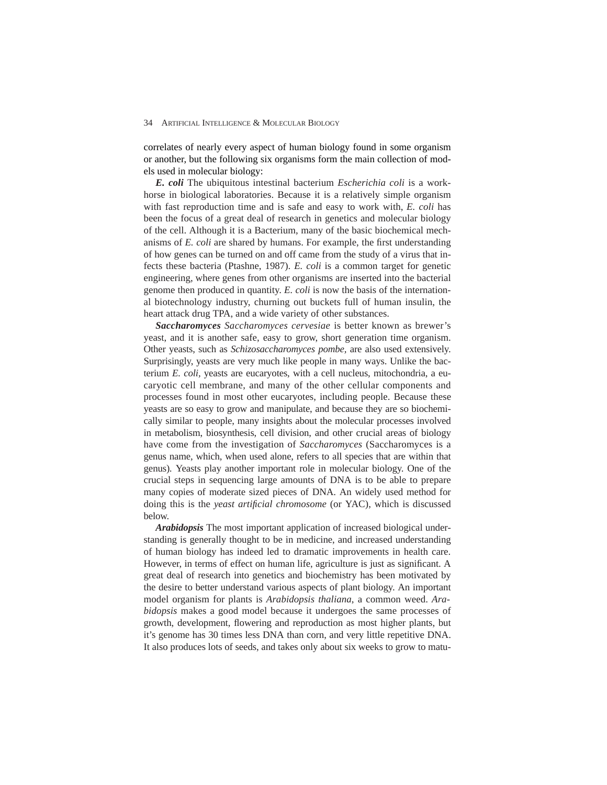correlates of nearly every aspect of human biology found in some organism or another, but the following six organisms form the main collection of models used in molecular biology:

*E. coli* The ubiquitous intestinal bacterium *Escherichia coli* is a workhorse in biological laboratories. Because it is a relatively simple organism with fast reproduction time and is safe and easy to work with, *E. coli* has been the focus of a great deal of research in genetics and molecular biology of the cell. Although it is a Bacterium, many of the basic biochemical mechanisms of *E. coli* are shared by humans. For example, the first understanding of how genes can be turned on and off came from the study of a virus that infects these bacteria (Ptashne, 1987). *E. coli* is a common target for genetic engineering, where genes from other organisms are inserted into the bacterial genome then produced in quantity. *E. coli* is now the basis of the international biotechnology industry, churning out buckets full of human insulin, the heart attack drug TPA, and a wide variety of other substances.

*Saccharomyces Saccharomyces cervesiae* is better known as brewer's yeast, and it is another safe, easy to grow, short generation time organism. Other yeasts, such as *Schizosaccharomyces pombe,* are also used extensively. Surprisingly, yeasts are very much like people in many ways. Unlike the bacterium *E. coli,* yeasts are eucaryotes, with a cell nucleus, mitochondria, a eucaryotic cell membrane, and many of the other cellular components and processes found in most other eucaryotes, including people. Because these yeasts are so easy to grow and manipulate, and because they are so biochemically similar to people, many insights about the molecular processes involved in metabolism, biosynthesis, cell division, and other crucial areas of biology have come from the investigation of *Saccharomyces* (Saccharomyces is a genus name, which, when used alone, refers to all species that are within that genus)*.* Yeasts play another important role in molecular biology. One of the crucial steps in sequencing large amounts of DNA is to be able to prepare many copies of moderate sized pieces of DNA. An widely used method for doing this is the *yeast artificial chromosome* (or YAC), which is discussed below.

*Arabidopsis* The most important application of increased biological understanding is generally thought to be in medicine, and increased understanding of human biology has indeed led to dramatic improvements in health care. However, in terms of effect on human life, agriculture is just as significant. A great deal of research into genetics and biochemistry has been motivated by the desire to better understand various aspects of plant biology. An important model organism for plants is *Arabidopsis thaliana*, a common weed. *Arabidopsis* makes a good model because it undergoes the same processes of growth, development, flowering and reproduction as most higher plants, but it's genome has 30 times less DNA than corn, and very little repetitive DNA. It also produces lots of seeds, and takes only about six weeks to grow to matu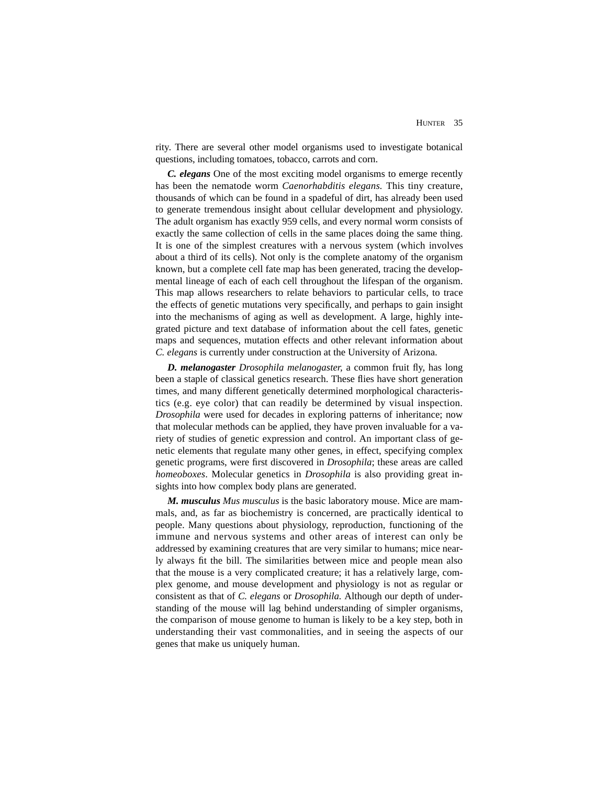rity. There are several other model organisms used to investigate botanical questions, including tomatoes, tobacco, carrots and corn.

*C. elegans* One of the most exciting model organisms to emerge recently has been the nematode worm *Caenorhabditis elegans.* This tiny creature, thousands of which can be found in a spadeful of dirt, has already been used to generate tremendous insight about cellular development and physiology. The adult organism has exactly 959 cells, and every normal worm consists of exactly the same collection of cells in the same places doing the same thing. It is one of the simplest creatures with a nervous system (which involves about a third of its cells). Not only is the complete anatomy of the organism known, but a complete cell fate map has been generated, tracing the developmental lineage of each of each cell throughout the lifespan of the organism. This map allows researchers to relate behaviors to particular cells, to trace the effects of genetic mutations very specifically, and perhaps to gain insight into the mechanisms of aging as well as development. A large, highly integrated picture and text database of information about the cell fates, genetic maps and sequences, mutation effects and other relevant information about *C. elegans* is currently under construction at the University of Arizona.

*D. melanogaster Drosophila melanogaster,* a common fruit fly, has long been a staple of classical genetics research. These flies have short generation times, and many different genetically determined morphological characteristics (e.g. eye color) that can readily be determined by visual inspection. *Drosophila* were used for decades in exploring patterns of inheritance; now that molecular methods can be applied, they have proven invaluable for a variety of studies of genetic expression and control. An important class of genetic elements that regulate many other genes, in effect, specifying complex genetic programs, were first discovered in *Drosophila*; these areas are called *homeoboxes*. Molecular genetics in *Drosophila* is also providing great insights into how complex body plans are generated.

*M. musculus Mus musculus* is the basic laboratory mouse. Mice are mammals, and, as far as biochemistry is concerned, are practically identical to people. Many questions about physiology, reproduction, functioning of the immune and nervous systems and other areas of interest can only be addressed by examining creatures that are very similar to humans; mice nearly always fit the bill. The similarities between mice and people mean also that the mouse is a very complicated creature; it has a relatively large, complex genome, and mouse development and physiology is not as regular or consistent as that of *C. elegans* or *Drosophila.* Although our depth of understanding of the mouse will lag behind understanding of simpler organisms, the comparison of mouse genome to human is likely to be a key step, both in understanding their vast commonalities, and in seeing the aspects of our genes that make us uniquely human.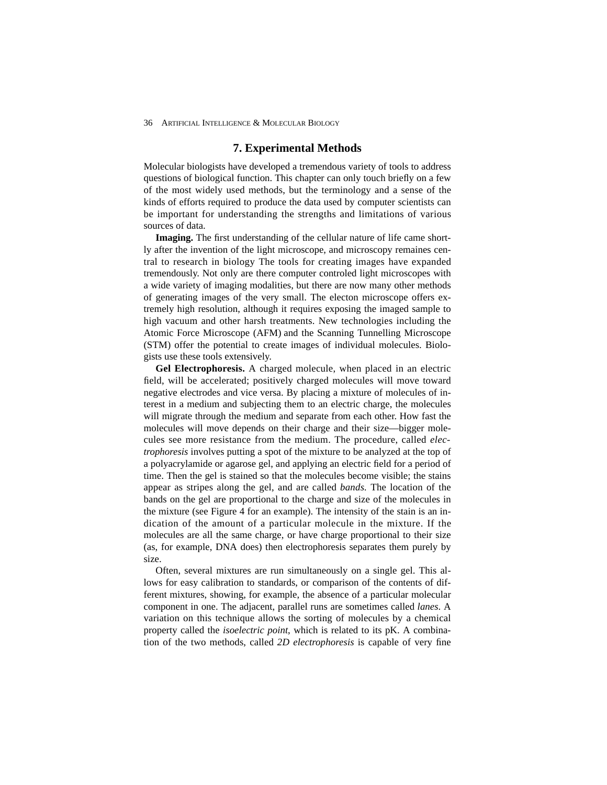# **7. Experimental Methods**

Molecular biologists have developed a tremendous variety of tools to address questions of biological function. This chapter can only touch briefly on a few of the most widely used methods, but the terminology and a sense of the kinds of efforts required to produce the data used by computer scientists can be important for understanding the strengths and limitations of various sources of data.

**Imaging.** The first understanding of the cellular nature of life came shortly after the invention of the light microscope, and microscopy remaines central to research in biology The tools for creating images have expanded tremendously. Not only are there computer controled light microscopes with a wide variety of imaging modalities, but there are now many other methods of generating images of the very small. The electon microscope offers extremely high resolution, although it requires exposing the imaged sample to high vacuum and other harsh treatments. New technologies including the Atomic Force Microscope (AFM) and the Scanning Tunnelling Microscope (STM) offer the potential to create images of individual molecules. Biologists use these tools extensively.

**Gel Electrophoresis.** A charged molecule, when placed in an electric field, will be accelerated; positively charged molecules will move toward negative electrodes and vice versa. By placing a mixture of molecules of interest in a medium and subjecting them to an electric charge, the molecules will migrate through the medium and separate from each other. How fast the molecules will move depends on their charge and their size—bigger molecules see more resistance from the medium. The procedure, called *electrophoresis* involves putting a spot of the mixture to be analyzed at the top of a polyacrylamide or agarose gel, and applying an electric field for a period of time. Then the gel is stained so that the molecules become visible; the stains appear as stripes along the gel, and are called *bands.* The location of the bands on the gel are proportional to the charge and size of the molecules in the mixture (see Figure 4 for an example). The intensity of the stain is an indication of the amount of a particular molecule in the mixture. If the molecules are all the same charge, or have charge proportional to their size (as, for example, DNA does) then electrophoresis separates them purely by size.

Often, several mixtures are run simultaneously on a single gel. This allows for easy calibration to standards, or comparison of the contents of different mixtures, showing, for example, the absence of a particular molecular component in one. The adjacent, parallel runs are sometimes called *lanes*. A variation on this technique allows the sorting of molecules by a chemical property called the *isoelectric point*, which is related to its pK. A combination of the two methods, called *2D electrophoresis* is capable of very fine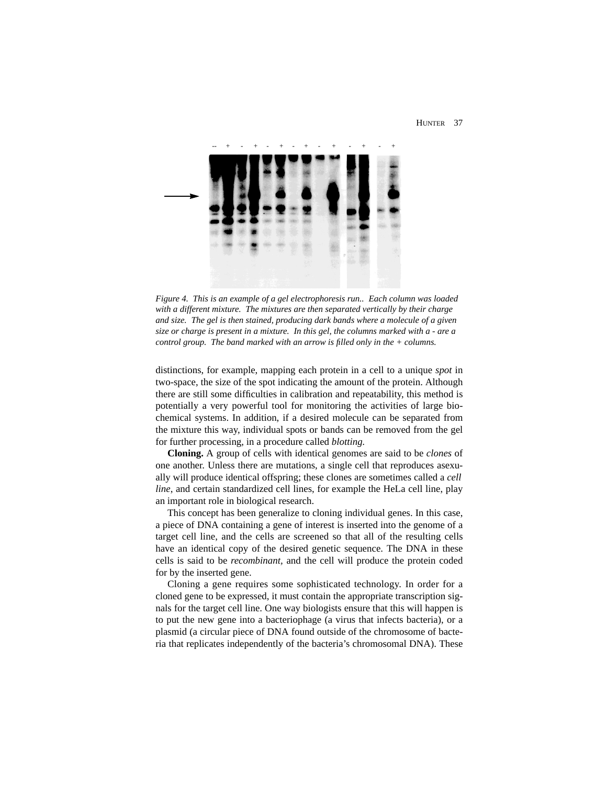



*Figure 4. This is an example of a gel electrophoresis run.. Each column was loaded with a different mixture. The mixtures are then separated vertically by their charge and size. The gel is then stained, producing dark bands where a molecule of a given size or charge is present in a mixture. In this gel, the columns marked with a - are a control group. The band marked with an arrow is filled only in the + columns.*

distinctions, for example, mapping each protein in a cell to a unique *spot* in two-space, the size of the spot indicating the amount of the protein. Although there are still some difficulties in calibration and repeatability, this method is potentially a very powerful tool for monitoring the activities of large biochemical systems. In addition, if a desired molecule can be separated from the mixture this way, individual spots or bands can be removed from the gel for further processing, in a procedure called *blotting.*

**Cloning.** A group of cells with identical genomes are said to be *clones* of one another. Unless there are mutations, a single cell that reproduces asexually will produce identical offspring; these clones are sometimes called a *cell line*, and certain standardized cell lines, for example the HeLa cell line, play an important role in biological research.

This concept has been generalize to cloning individual genes. In this case, a piece of DNA containing a gene of interest is inserted into the genome of a target cell line, and the cells are screened so that all of the resulting cells have an identical copy of the desired genetic sequence. The DNA in these cells is said to be *recombinant,* and the cell will produce the protein coded for by the inserted gene.

Cloning a gene requires some sophisticated technology. In order for a cloned gene to be expressed, it must contain the appropriate transcription signals for the target cell line. One way biologists ensure that this will happen is to put the new gene into a bacteriophage (a virus that infects bacteria), or a plasmid (a circular piece of DNA found outside of the chromosome of bacteria that replicates independently of the bacteria's chromosomal DNA). These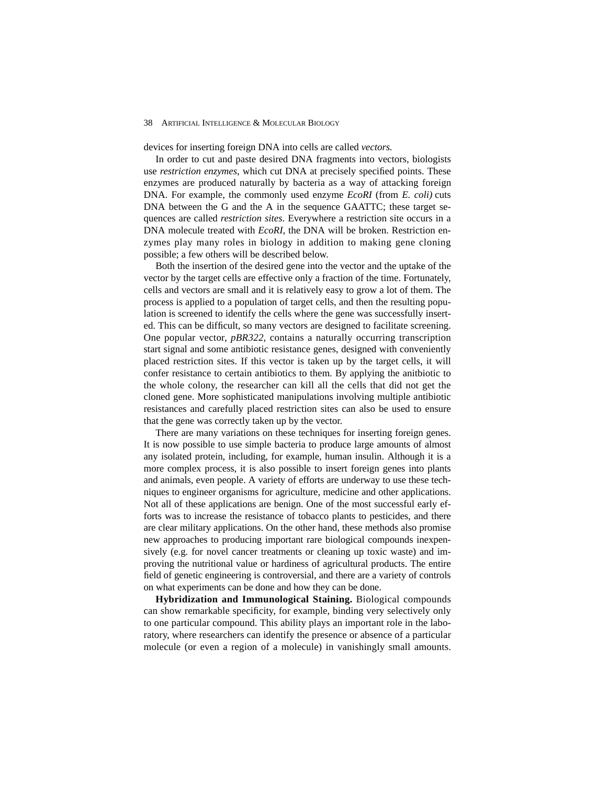devices for inserting foreign DNA into cells are called *vectors.*

In order to cut and paste desired DNA fragments into vectors, biologists use *restriction enzymes*, which cut DNA at precisely specified points. These enzymes are produced naturally by bacteria as a way of attacking foreign DNA. For example, the commonly used enzyme *EcoRI* (from *E. coli)* cuts DNA between the G and the A in the sequence GAATTC; these target sequences are called *restriction sites*. Everywhere a restriction site occurs in a DNA molecule treated with *EcoRI*, the DNA will be broken. Restriction enzymes play many roles in biology in addition to making gene cloning possible; a few others will be described below.

Both the insertion of the desired gene into the vector and the uptake of the vector by the target cells are effective only a fraction of the time. Fortunately, cells and vectors are small and it is relatively easy to grow a lot of them. The process is applied to a population of target cells, and then the resulting population is screened to identify the cells where the gene was successfully inserted. This can be difficult, so many vectors are designed to facilitate screening. One popular vector, *pBR322*, contains a naturally occurring transcription start signal and some antibiotic resistance genes, designed with conveniently placed restriction sites. If this vector is taken up by the target cells, it will confer resistance to certain antibiotics to them. By applying the anitbiotic to the whole colony, the researcher can kill all the cells that did not get the cloned gene. More sophisticated manipulations involving multiple antibiotic resistances and carefully placed restriction sites can also be used to ensure that the gene was correctly taken up by the vector.

There are many variations on these techniques for inserting foreign genes. It is now possible to use simple bacteria to produce large amounts of almost any isolated protein, including, for example, human insulin. Although it is a more complex process, it is also possible to insert foreign genes into plants and animals, even people. A variety of efforts are underway to use these techniques to engineer organisms for agriculture, medicine and other applications. Not all of these applications are benign. One of the most successful early efforts was to increase the resistance of tobacco plants to pesticides, and there are clear military applications. On the other hand, these methods also promise new approaches to producing important rare biological compounds inexpensively (e.g. for novel cancer treatments or cleaning up toxic waste) and improving the nutritional value or hardiness of agricultural products. The entire field of genetic engineering is controversial, and there are a variety of controls on what experiments can be done and how they can be done.

**Hybridization and Immunological Staining.** Biological compounds can show remarkable specificity, for example, binding very selectively only to one particular compound. This ability plays an important role in the laboratory, where researchers can identify the presence or absence of a particular molecule (or even a region of a molecule) in vanishingly small amounts.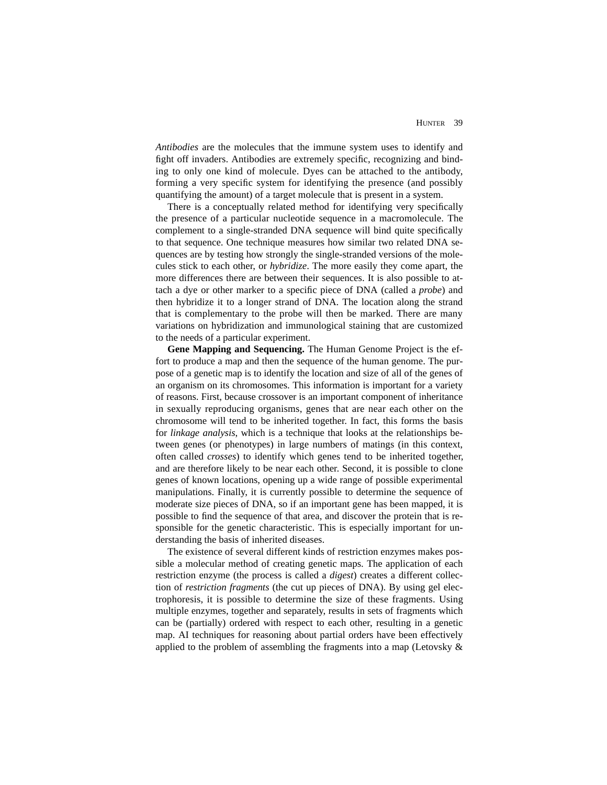*Antibodies* are the molecules that the immune system uses to identify and fight off invaders. Antibodies are extremely specific, recognizing and binding to only one kind of molecule. Dyes can be attached to the antibody, forming a very specific system for identifying the presence (and possibly quantifying the amount) of a target molecule that is present in a system.

There is a conceptually related method for identifying very specifically the presence of a particular nucleotide sequence in a macromolecule. The complement to a single-stranded DNA sequence will bind quite specifically to that sequence. One technique measures how similar two related DNA sequences are by testing how strongly the single-stranded versions of the molecules stick to each other, or *hybridize*. The more easily they come apart, the more differences there are between their sequences. It is also possible to attach a dye or other marker to a specific piece of DNA (called a *probe*) and then hybridize it to a longer strand of DNA. The location along the strand that is complementary to the probe will then be marked. There are many variations on hybridization and immunological staining that are customized to the needs of a particular experiment.

**Gene Mapping and Sequencing.** The Human Genome Project is the effort to produce a map and then the sequence of the human genome. The purpose of a genetic map is to identify the location and size of all of the genes of an organism on its chromosomes. This information is important for a variety of reasons. First, because crossover is an important component of inheritance in sexually reproducing organisms, genes that are near each other on the chromosome will tend to be inherited together. In fact, this forms the basis for *linkage analysis*, which is a technique that looks at the relationships between genes (or phenotypes) in large numbers of matings (in this context, often called *crosses*) to identify which genes tend to be inherited together, and are therefore likely to be near each other. Second, it is possible to clone genes of known locations, opening up a wide range of possible experimental manipulations. Finally, it is currently possible to determine the sequence of moderate size pieces of DNA, so if an important gene has been mapped, it is possible to find the sequence of that area, and discover the protein that is responsible for the genetic characteristic. This is especially important for understanding the basis of inherited diseases.

The existence of several different kinds of restriction enzymes makes possible a molecular method of creating genetic maps. The application of each restriction enzyme (the process is called a *digest*) creates a different collection of *restriction fragments* (the cut up pieces of DNA). By using gel electrophoresis, it is possible to determine the size of these fragments. Using multiple enzymes, together and separately, results in sets of fragments which can be (partially) ordered with respect to each other, resulting in a genetic map. AI techniques for reasoning about partial orders have been effectively applied to the problem of assembling the fragments into a map (Letovsky &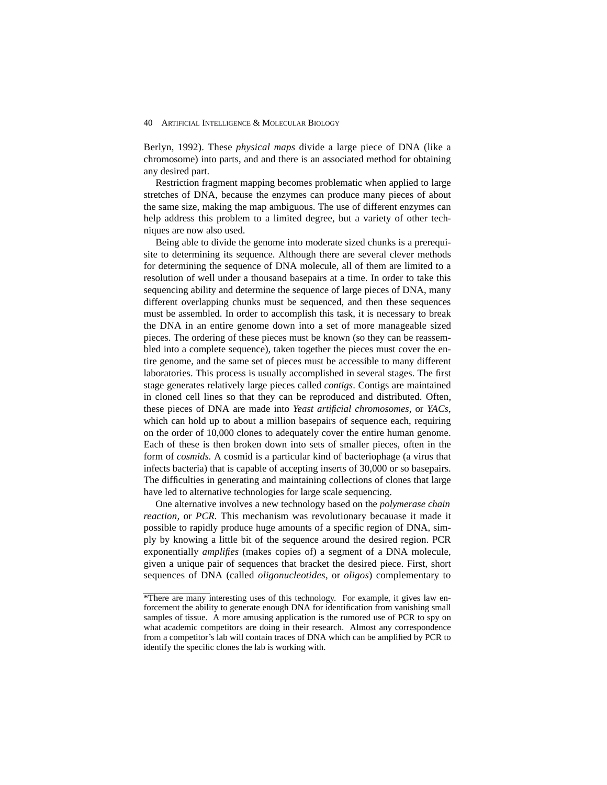Berlyn, 1992). These *physical maps* divide a large piece of DNA (like a chromosome) into parts, and and there is an associated method for obtaining any desired part.

Restriction fragment mapping becomes problematic when applied to large stretches of DNA, because the enzymes can produce many pieces of about the same size, making the map ambiguous. The use of different enzymes can help address this problem to a limited degree, but a variety of other techniques are now also used.

Being able to divide the genome into moderate sized chunks is a prerequisite to determining its sequence. Although there are several clever methods for determining the sequence of DNA molecule, all of them are limited to a resolution of well under a thousand basepairs at a time. In order to take this sequencing ability and determine the sequence of large pieces of DNA, many different overlapping chunks must be sequenced, and then these sequences must be assembled. In order to accomplish this task, it is necessary to break the DNA in an entire genome down into a set of more manageable sized pieces. The ordering of these pieces must be known (so they can be reassembled into a complete sequence), taken together the pieces must cover the entire genome, and the same set of pieces must be accessible to many different laboratories. This process is usually accomplished in several stages. The first stage generates relatively large pieces called *contigs*. Contigs are maintained in cloned cell lines so that they can be reproduced and distributed. Often, these pieces of DNA are made into *Yeast artificial chromosomes,* or *YACs*, which can hold up to about a million basepairs of sequence each, requiring on the order of 10,000 clones to adequately cover the entire human genome. Each of these is then broken down into sets of smaller pieces, often in the form of *cosmids.* A cosmid is a particular kind of bacteriophage (a virus that infects bacteria) that is capable of accepting inserts of 30,000 or so basepairs. The difficulties in generating and maintaining collections of clones that large have led to alternative technologies for large scale sequencing.

One alternative involves a new technology based on the *polymerase chain reaction,* or *PCR.* This mechanism was revolutionary becauase it made it possible to rapidly produce huge amounts of a specific region of DNA, simply by knowing a little bit of the sequence around the desired region. PCR exponentially *amplifies* (makes copies of) a segment of a DNA molecule, given a unique pair of sequences that bracket the desired piece. First, short sequences of DNA (called *oligonucleotides*, or *oligos*) complementary to

<sup>\*</sup>There are many interesting uses of this technology. For example, it gives law enforcement the ability to generate enough DNA for identification from vanishing small samples of tissue. A more amusing application is the rumored use of PCR to spy on what academic competitors are doing in their research. Almost any correspondence from a competitor's lab will contain traces of DNA which can be amplified by PCR to identify the specific clones the lab is working with.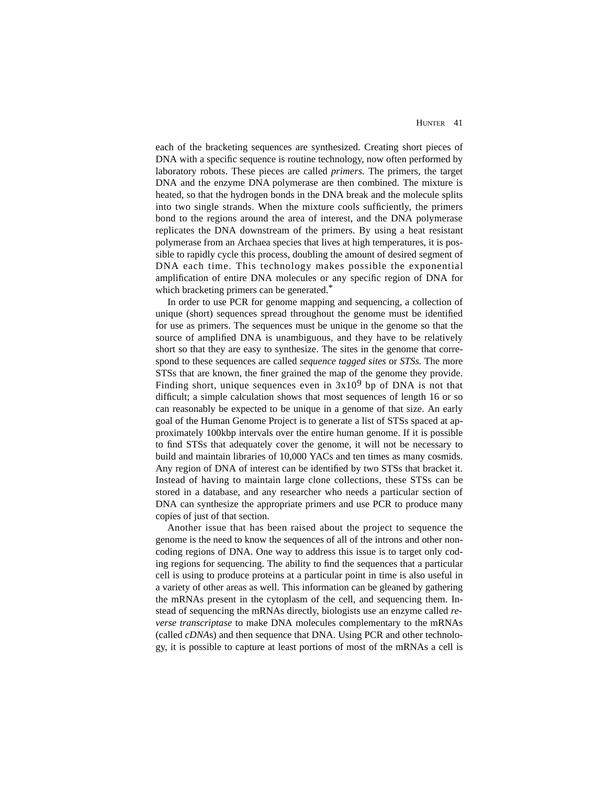## HUNTER 41

each of the bracketing sequences are synthesized. Creating short pieces of DNA with a specific sequence is routine technology, now often performed by laboratory robots. These pieces are called *primers.* The primers, the target DNA and the enzyme DNA polymerase are then combined. The mixture is heated, so that the hydrogen bonds in the DNA break and the molecule splits into two single strands. When the mixture cools sufficiently, the primers bond to the regions around the area of interest, and the DNA polymerase replicates the DNA downstream of the primers. By using a heat resistant polymerase from an Archaea species that lives at high temperatures, it is possible to rapidly cycle this process, doubling the amount of desired segment of DNA each time. This technology makes possible the exponential amplification of entire DNA molecules or any specific region of DNA for which bracketing primers can be generated.<sup>\*</sup>

In order to use PCR for genome mapping and sequencing, a collection of unique (short) sequences spread throughout the genome must be identified for use as primers. The sequences must be unique in the genome so that the source of amplified DNA is unambiguous, and they have to be relatively short so that they are easy to synthesize. The sites in the genome that correspond to these sequences are called *sequence tagged sites* or *STSs.* The more STSs that are known, the finer grained the map of the genome they provide. Finding short, unique sequences even in  $3x10^9$  bp of DNA is not that difficult; a simple calculation shows that most sequences of length 16 or so can reasonably be expected to be unique in a genome of that size. An early goal of the Human Genome Project is to generate a list of STSs spaced at approximately 100kbp intervals over the entire human genome. If it is possible to find STSs that adequately cover the genome, it will not be necessary to build and maintain libraries of 10,000 YACs and ten times as many cosmids. Any region of DNA of interest can be identified by two STSs that bracket it. Instead of having to maintain large clone collections, these STSs can be stored in a database, and any researcher who needs a particular section of DNA can synthesize the appropriate primers and use PCR to produce many copies of just of that section.

Another issue that has been raised about the project to sequence the genome is the need to know the sequences of all of the introns and other noncoding regions of DNA. One way to address this issue is to target only coding regions for sequencing. The ability to find the sequences that a particular cell is using to produce proteins at a particular point in time is also useful in a variety of other areas as well. This information can be gleaned by gathering the mRNAs present in the cytoplasm of the cell, and sequencing them. Instead of sequencing the mRNAs directly, biologists use an enzyme called *reverse transcriptase* to make DNA molecules complementary to the mRNAs (called *cDNA*s) and then sequence that DNA. Using PCR and other technology, it is possible to capture at least portions of most of the mRNAs a cell is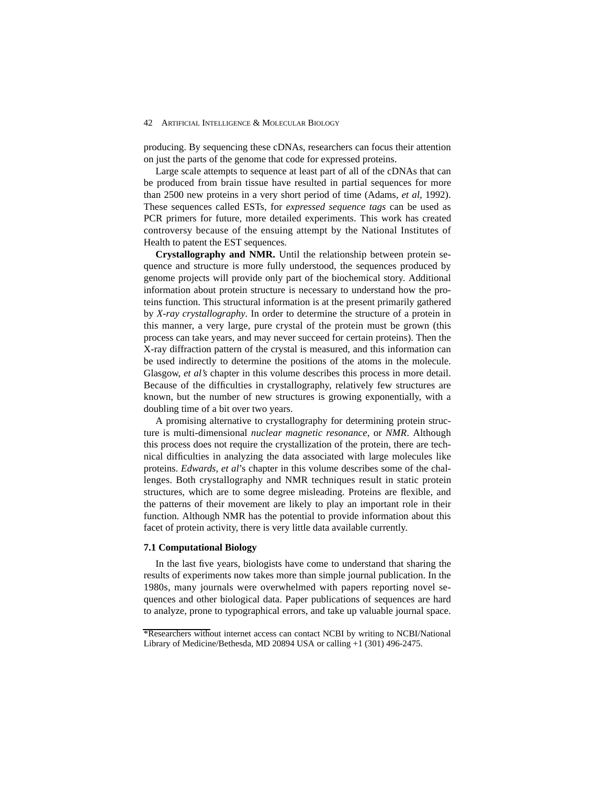producing. By sequencing these cDNAs, researchers can focus their attention on just the parts of the genome that code for expressed proteins.

Large scale attempts to sequence at least part of all of the cDNAs that can be produced from brain tissue have resulted in partial sequences for more than 2500 new proteins in a very short period of time (Adams, *et al,* 1992). These sequences called ESTs, for *expressed sequence tags* can be used as PCR primers for future, more detailed experiments. This work has created controversy because of the ensuing attempt by the National Institutes of Health to patent the EST sequences.

**Crystallography and NMR.** Until the relationship between protein sequence and structure is more fully understood, the sequences produced by genome projects will provide only part of the biochemical story. Additional information about protein structure is necessary to understand how the proteins function. This structural information is at the present primarily gathered by *X-ray crystallography*. In order to determine the structure of a protein in this manner, a very large, pure crystal of the protein must be grown (this process can take years, and may never succeed for certain proteins). Then the X-ray diffraction pattern of the crystal is measured, and this information can be used indirectly to determine the positions of the atoms in the molecule. Glasgow, *et al's* chapter in this volume describes this process in more detail. Because of the difficulties in crystallography, relatively few structures are known, but the number of new structures is growing exponentially, with a doubling time of a bit over two years.

A promising alternative to crystallography for determining protein structure is multi-dimensional *nuclear magnetic resonance*, or *NMR*. Although this process does not require the crystallization of the protein, there are technical difficulties in analyzing the data associated with large molecules like proteins. *Edwards, et al*'s chapter in this volume describes some of the challenges. Both crystallography and NMR techniques result in static protein structures, which are to some degree misleading. Proteins are flexible, and the patterns of their movement are likely to play an important role in their function. Although NMR has the potential to provide information about this facet of protein activity, there is very little data available currently.

## **7.1 Computational Biology**

In the last five years, biologists have come to understand that sharing the results of experiments now takes more than simple journal publication. In the 1980s, many journals were overwhelmed with papers reporting novel sequences and other biological data. Paper publications of sequences are hard to analyze, prone to typographical errors, and take up valuable journal space.

<sup>\*</sup>Researchers without internet access can contact NCBI by writing to NCBI/National Library of Medicine/Bethesda, MD 20894 USA or calling +1 (301) 496-2475.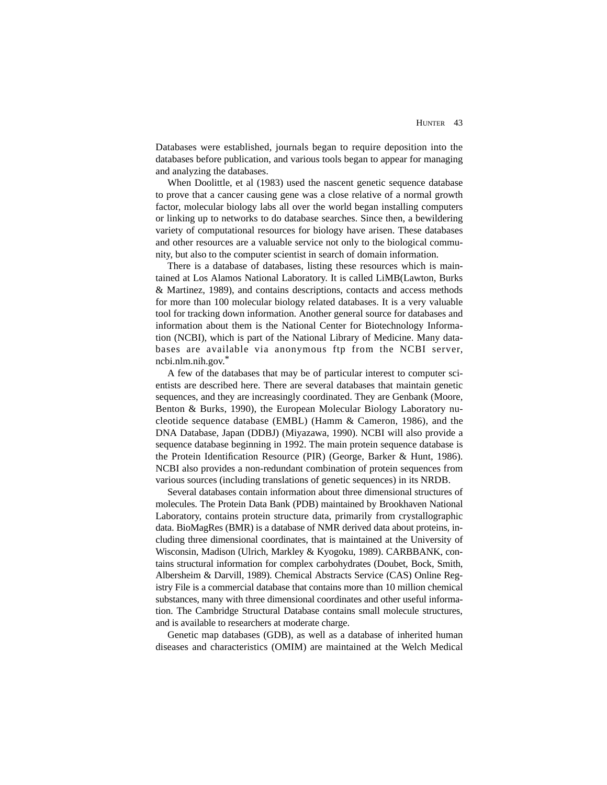Databases were established, journals began to require deposition into the databases before publication, and various tools began to appear for managing and analyzing the databases.

When Doolittle, et al (1983) used the nascent genetic sequence database to prove that a cancer causing gene was a close relative of a normal growth factor, molecular biology labs all over the world began installing computers or linking up to networks to do database searches. Since then, a bewildering variety of computational resources for biology have arisen. These databases and other resources are a valuable service not only to the biological community, but also to the computer scientist in search of domain information.

There is a database of databases, listing these resources which is maintained at Los Alamos National Laboratory. It is called LiMB(Lawton, Burks & Martinez, 1989), and contains descriptions, contacts and access methods for more than 100 molecular biology related databases. It is a very valuable tool for tracking down information. Another general source for databases and information about them is the National Center for Biotechnology Information (NCBI), which is part of the National Library of Medicine. Many databases are available via anonymous ftp from the NCBI server, ncbi.nlm.nih.gov.\*

A few of the databases that may be of particular interest to computer scientists are described here. There are several databases that maintain genetic sequences, and they are increasingly coordinated. They are Genbank (Moore, Benton & Burks, 1990), the European Molecular Biology Laboratory nucleotide sequence database (EMBL) (Hamm & Cameron, 1986), and the DNA Database, Japan (DDBJ) (Miyazawa, 1990). NCBI will also provide a sequence database beginning in 1992. The main protein sequence database is the Protein Identification Resource (PIR) (George, Barker & Hunt, 1986). NCBI also provides a non-redundant combination of protein sequences from various sources (including translations of genetic sequences) in its NRDB.

Several databases contain information about three dimensional structures of molecules. The Protein Data Bank (PDB) maintained by Brookhaven National Laboratory, contains protein structure data, primarily from crystallographic data. BioMagRes (BMR) is a database of NMR derived data about proteins, including three dimensional coordinates, that is maintained at the University of Wisconsin, Madison (Ulrich, Markley & Kyogoku, 1989). CARBBANK, contains structural information for complex carbohydrates (Doubet, Bock, Smith, Albersheim & Darvill, 1989). Chemical Abstracts Service (CAS) Online Registry File is a commercial database that contains more than 10 million chemical substances, many with three dimensional coordinates and other useful information. The Cambridge Structural Database contains small molecule structures, and is available to researchers at moderate charge.

Genetic map databases (GDB), as well as a database of inherited human diseases and characteristics (OMIM) are maintained at the Welch Medical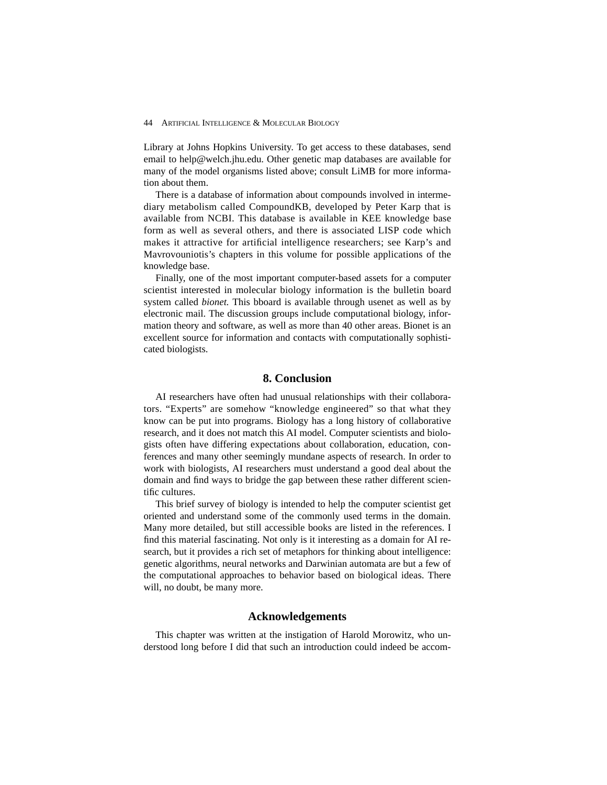Library at Johns Hopkins University. To get access to these databases, send email to help@welch.jhu.edu. Other genetic map databases are available for many of the model organisms listed above; consult LiMB for more information about them.

There is a database of information about compounds involved in intermediary metabolism called CompoundKB, developed by Peter Karp that is available from NCBI. This database is available in KEE knowledge base form as well as several others, and there is associated LISP code which makes it attractive for artificial intelligence researchers; see Karp's and Mavrovouniotis's chapters in this volume for possible applications of the knowledge base.

Finally, one of the most important computer-based assets for a computer scientist interested in molecular biology information is the bulletin board system called *bionet.* This bboard is available through usenet as well as by electronic mail. The discussion groups include computational biology, information theory and software, as well as more than 40 other areas. Bionet is an excellent source for information and contacts with computationally sophisticated biologists.

# **8. Conclusion**

AI researchers have often had unusual relationships with their collaborators. "Experts" are somehow "knowledge engineered" so that what they know can be put into programs. Biology has a long history of collaborative research, and it does not match this AI model. Computer scientists and biologists often have differing expectations about collaboration, education, conferences and many other seemingly mundane aspects of research. In order to work with biologists, AI researchers must understand a good deal about the domain and find ways to bridge the gap between these rather different scientific cultures.

This brief survey of biology is intended to help the computer scientist get oriented and understand some of the commonly used terms in the domain. Many more detailed, but still accessible books are listed in the references. I find this material fascinating. Not only is it interesting as a domain for AI research, but it provides a rich set of metaphors for thinking about intelligence: genetic algorithms, neural networks and Darwinian automata are but a few of the computational approaches to behavior based on biological ideas. There will, no doubt, be many more.

# **Acknowledgements**

This chapter was written at the instigation of Harold Morowitz, who understood long before I did that such an introduction could indeed be accom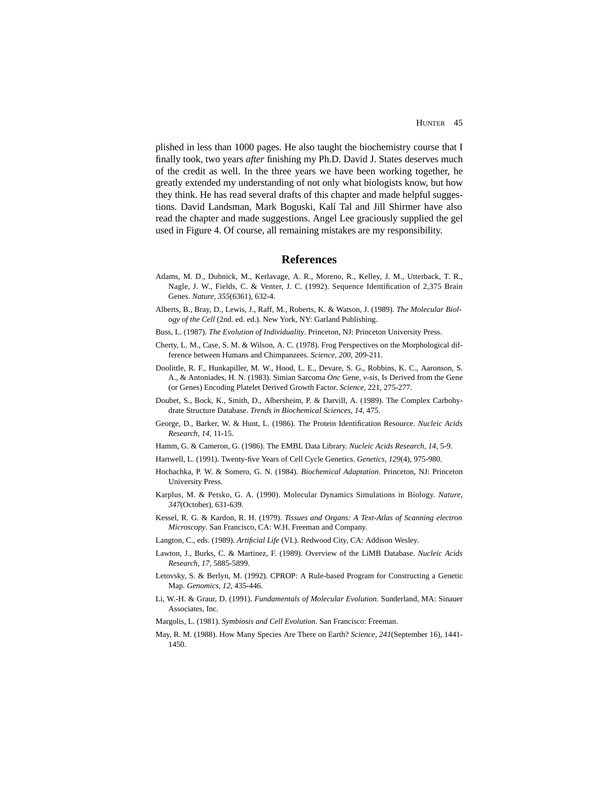plished in less than 1000 pages. He also taught the biochemistry course that I finally took, two years *after* finishing my Ph.D. David J. States deserves much of the credit as well. In the three years we have been working together, he greatly extended my understanding of not only what biologists know, but how they think. He has read several drafts of this chapter and made helpful suggestions. David Landsman, Mark Boguski, Kalí Tal and Jill Shirmer have also read the chapter and made suggestions. Angel Lee graciously supplied the gel used in Figure 4. Of course, all remaining mistakes are my responsibility.

# **References**

- Adams, M. D., Dubnick, M., Kerlavage, A. R., Moreno, R., Kelley, J. M., Utterback, T. R., Nagle, J. W., Fields, C. & Venter, J. C. (1992). Sequence Identification of 2,375 Brain Genes. *Nature, 355*(6361), 632-4.
- Alberts, B., Bray, D., Lewis, J., Raff, M., Roberts, K. & Watson, J. (1989). *The Molecular Biology of the Cell* (2nd. ed. ed.). New York, NY: Garland Publishing.
- Buss, L. (1987). *The Evolution of Individuality*. Princeton, NJ: Princeton University Press.
- Cherty, L. M., Case, S. M. & Wilson, A. C. (1978). Frog Perspectives on the Morphological difference between Humans and Chimpanzees. *Science, 200*, 209-211.
- Doolittle, R. F., Hunkapiller, M. W., Hood, L. E., Devare, S. G., Robbins, K. C., Aaronson, S. A., & Antoniades, H. N. (1983). Simian Sarcoma *Onc* Gene, *v-sis,* Is Derived from the Gene (or Genes) Encoding Platelet Derived Growth Factor. *Science,* 221, 275-277.
- Doubet, S., Bock, K., Smith, D., Albersheim, P. & Darvill, A. (1989). The Complex Carbohydrate Structure Database. *Trends in Biochemical Sciences, 14*, 475.
- George, D., Barker, W. & Hunt, L. (1986). The Protein Identification Resource. *Nucleic Acids Research, 14*, 11-15.
- Hamm, G. & Cameron, G. (1986). The EMBL Data Library. *Nucleic Acids Research, 14*, 5-9.
- Hartwell, L. (1991). Twenty-five Years of Cell Cycle Genetics. *Genetics, 129*(4), 975-980.
- Hochachka, P. W. & Somero, G. N. (1984). *Biochemical Adaptation*. Princeton, NJ: Princeton University Press.
- Karplus, M. & Petsko, G. A. (1990). Molecular Dynamics Simulations in Biology. *Nature, 347*(October), 631-639.
- Kessel, R. G. & Kardon, R. H. (1979). *Tissues and Organs: A Text-Atlas of Scanning electron Microscopy*. San Francisco, CA: W.H. Freeman and Company.
- Langton, C., eds. (1989). *Artificial Life* (VI.). Redwood City, CA: Addison Wesley.
- Lawton, J., Burks, C. & Martinez, F. (1989). Overview of the LiMB Database. *Nucleic Acids Research, 17*, 5885-5899.
- Letovsky, S. & Berlyn, M. (1992). CPROP: A Rule-based Program for Constructing a Genetic Map. *Genomics, 12*, 435-446.
- Li, W.-H. & Graur, D. (1991). *Fundamentals of Molecular Evolution*. Sunderland, MA: Sinauer Associates, Inc.
- Margolis, L. (1981). *Symbiosis and Cell Evolution*. San Francisco: Freeman.
- May, R. M. (1988). How Many Species Are There on Earth? *Science, 241*(September 16), 1441- 1450.